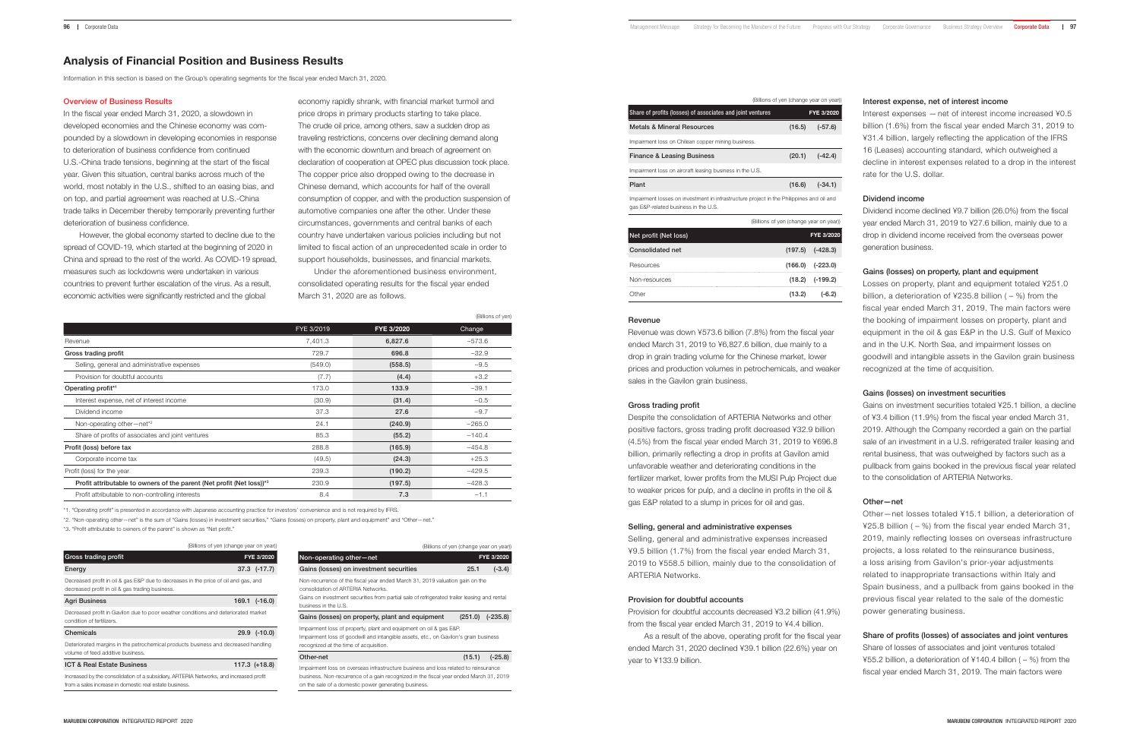# Analysis of Financial Position and Business Results

Information in this section is based on the Group's operating segments for the fiscal year ended March 31, 2020.

#### Overview of Business Results

In the fiscal year ended March 31, 2020, a slowdown in developed economies and the Chinese economy was compounded by a slowdown in developing economies in response to deterioration of business confidence from continued U.S.-China trade tensions, beginning at the start of the fiscal year. Given this situation, central banks across much of the world, most notably in the U.S., shifted to an easing bias, and on top, and partial agreement was reached at U.S.-China trade talks in December thereby temporarily preventing further deterioration of business confidence.

However, the global economy started to decline due to the spread of COVID-19, which started at the beginning of 2020 in China and spread to the rest of the world. As COVID-19 spread, measures such as lockdowns were undertaken in various countries to prevent further escalation of the virus. As a result, economic activities were significantly restricted and the global

economy rapidly shrank, with financial market turmoil and price drops in primary products starting to take place. The crude oil price, among others, saw a sudden drop as traveling restrictions, concerns over declining demand along with the economic downturn and breach of agreement on declaration of cooperation at OPEC plus discussion took place. The copper price also dropped owing to the decrease in Chinese demand, which accounts for half of the overall consumption of copper, and with the production suspension of automotive companies one after the other. Under these circumstances, governments and central banks of each country have undertaken various policies including but not limited to fiscal action of an unprecedented scale in order to support households, businesses, and financial markets.

Under the aforementioned business environment, consolidated operating results for the fiscal year ended March 31, 2020 are as follows.

 $\mathcal{L}$  (Billions of yen)

|                                                                                   |            |            | (BIIIIONS OF YEAR) |
|-----------------------------------------------------------------------------------|------------|------------|--------------------|
|                                                                                   | FYE 3/2019 | FYE 3/2020 | Change             |
| Revenue                                                                           | 7,401.3    | 6,827.6    | $-573.6$           |
| Gross trading profit                                                              | 729.7      | 696.8      | $-32.9$            |
| Selling, general and administrative expenses                                      | (549.0)    | (558.5)    | $-9.5$             |
| Provision for doubtful accounts                                                   | (7.7)      | (4.4)      | $+3.2$             |
| Operating profit*1                                                                | 173.0      | 133.9      | $-39.1$            |
| Interest expense, net of interest income                                          | (30.9)     | (31.4)     | $-0.5$             |
| Dividend income                                                                   | 37.3       | 27.6       | $-9.7$             |
| Non-operating other-net*2                                                         | 24.1       | (240.9)    | $-265.0$           |
| Share of profits of associates and joint ventures                                 | 85.3       | (55.2)     | $-140.4$           |
| Profit (loss) before tax                                                          | 288.8      | (165.9)    | $-454.8$           |
| Corporate income tax                                                              | (49.5)     | (24.3)     | $+25.3$            |
| Profit (loss) for the year                                                        | 239.3      | (190.2)    | $-429.5$           |
| Profit attributable to owners of the parent (Net profit (Net loss)) <sup>*3</sup> | 230.9      | (197.5)    | $-428.3$           |
| Profit attributable to non-controlling interests                                  | 8.4        | 7.3        | $-1.1$             |

\*1. "Operating profit" is presented in accordance with Japanese accounting practice for investors' convenience and is not required by IFRS.

\*2. "Non-operating other—net" is the sum of "Gains (losses) in investment securities," "Gains (losses) on property, plant and equipment" and "Other—net."

\*3. "Profit attributable to owners of the parent" is shown as "Net profit."

|                                                                                                                                                   | (Billions of yen (change year on year)) |                   |
|---------------------------------------------------------------------------------------------------------------------------------------------------|-----------------------------------------|-------------------|
| Gross trading profit                                                                                                                              |                                         | FYE 3/2020        |
| Energy                                                                                                                                            |                                         | $37.3$ $(-17.7)$  |
| Decreased profit in oil & gas E&P due to decreases in the price of oil and gas, and<br>decreased profit in oil & gas trading business.            |                                         |                   |
| Agri Business                                                                                                                                     |                                         | $169.1$ $(-16.0)$ |
| Decreased profit in Gavilon due to poor weather conditions and deteriorated market<br>condition of fertilizers.                                   |                                         |                   |
| Chemicals                                                                                                                                         |                                         | 29.9 (-10.0)      |
| Deteriorated margins in the petrochemical products business and decreased handling<br>volume of feed additive business.                           |                                         |                   |
| <b>ICT &amp; Real Estate Business</b>                                                                                                             |                                         | $117.3$ $(+18.8)$ |
| Increased by the consolidation of a subsidiary, ARTERIA Networks, and increased profit<br>from a sales increase in domestic real estate business. |                                         |                   |

|                                                                                                                                                                                                                                           | (Billions of yen (change year on year)) |            |
|-------------------------------------------------------------------------------------------------------------------------------------------------------------------------------------------------------------------------------------------|-----------------------------------------|------------|
| Non-operating other-net                                                                                                                                                                                                                   |                                         | FYE 3/2020 |
| Gains (losses) on investment securities                                                                                                                                                                                                   | 25.1                                    | $(-3.4)$   |
| Non-recurrence of the fiscal year ended March 31, 2019 valuation gain on the<br>consolidation of ARTERIA Networks.<br>Gains on investment securities from partial sale of refrigerated trailer leasing and rental<br>business in the U.S. |                                         |            |
| Gains (losses) on property, plant and equipment                                                                                                                                                                                           | (251.0)                                 | $(-235.8)$ |
| Impairment loss of property, plant and equipment on oil & gas E&P.<br>Impairment loss of goodwill and intangible assets, etc., on Gavilon's grain business<br>recognized at the time of acquisition.                                      |                                         |            |
| Other-net                                                                                                                                                                                                                                 | (15.1)                                  | $(-25.8)$  |
| Impairment loss on overseas infrastructure business and loss related to reinsurance                                                                                                                                                       |                                         |            |

business. Non-recurrence of a gain recognized in the fiscal year ended March 31, 2019 on the sale of a domestic power generating business.

|                                                                                                                                  | (Billions of yen (change year on year)) |            |
|----------------------------------------------------------------------------------------------------------------------------------|-----------------------------------------|------------|
| Share of profits (losses) of associates and joint ventures                                                                       |                                         | FYE 3/2020 |
| <b>Metals &amp; Mineral Resources</b>                                                                                            | (16.5)                                  | $(-57.6)$  |
| Impairment loss on Chilean copper mining business.                                                                               |                                         |            |
| <b>Finance &amp; Leasing Business</b>                                                                                            | (20.1)                                  | $(-42.4)$  |
| Impairment loss on aircraft leasing business in the U.S.                                                                         |                                         |            |
| Plant                                                                                                                            | (16.6)                                  | $(-34.1)$  |
| Impairment losses on investment in infrastructure project in the Philippines and oil and<br>gas E&P-related business in the U.S. |                                         |            |
|                                                                                                                                  |                                         |            |

|                         | (Billions of yen (change year on year)) |                      |
|-------------------------|-----------------------------------------|----------------------|
| Net profit (Net loss)   |                                         | FYE 3/2020           |
| <b>Consolidated net</b> |                                         | $(197.5)$ $(-428.3)$ |
| Resources               |                                         | $(166.0)$ $(-223.0)$ |
| Non-resources           |                                         | $(18.2)$ $(-199.2)$  |
| Other                   | (13.2)                                  | $(-6.2)$             |

#### Revenue

Revenue was down ¥573.6 billion (7.8%) from the fiscal year ended March 31, 2019 to ¥6,827.6 billion, due mainly to a drop in grain trading volume for the Chinese market, lower prices and production volumes in petrochemicals, and weaker sales in the Gavilon grain business.

#### Gross trading profit

Despite the consolidation of ARTERIA Networks and other positive factors, gross trading profit decreased ¥32.9 billion (4.5%) from the fiscal year ended March 31, 2019 to ¥696.8 billion, primarily reflecting a drop in profits at Gavilon amid unfavorable weather and deteriorating conditions in the fertilizer market, lower profits from the MUSI Pulp Project due to weaker prices for pulp, and a decline in profits in the oil & gas E&P related to a slump in prices for oil and gas.

### Selling, general and administrative expenses

Selling, general and administrative expenses increased ¥9.5 billion (1.7%) from the fiscal year ended March 31, 2019 to ¥558.5 billion, mainly due to the consolidation of ARTERIA Networks.

# Provision for doubtful accounts

Provision for doubtful accounts decreased ¥3.2 billion (41.9%) from the fiscal year ended March 31, 2019 to ¥4.4 billion.

As a result of the above, operating profit for the fiscal year ended March 31, 2020 declined ¥39.1 billion (22.6%) year on year to ¥133.9 billion.

#### Interest expense, net of interest income

Interest expenses — net of interest income increased ¥0.5 billion (1.6%) from the fiscal year ended March 31, 2019 to ¥31.4 billion, largely reflecting the application of the IFRS 16 (Leases) accounting standard, which outweighed a decline in interest expenses related to a drop in the interest rate for the U.S. dollar.

# Dividend income

Dividend income declined ¥9.7 billion (26.0%) from the fiscal year ended March 31, 2019 to ¥27.6 billion, mainly due to a drop in dividend income received from the overseas power generation business.

## Gains (losses) on property, plant and equipment

Losses on property, plant and equipment totaled ¥251.0 billion, a deterioration of ¥235.8 billion ( $-$  %) from the fiscal year ended March 31, 2019. The main factors were the booking of impairment losses on property, plant and equipment in the oil & gas E&P in the U.S. Gulf of Mexico and in the U.K. North Sea, and impairment losses on goodwill and intangible assets in the Gavilon grain business recognized at the time of acquisition.

# Gains (losses) on investment securities

Gains on investment securities totaled ¥25.1 billion, a decline of ¥3.4 billion (11.9%) from the fiscal year ended March 31, 2019. Although the Company recorded a gain on the partial sale of an investment in a U.S. refrigerated trailer leasing and rental business, that was outweighed by factors such as a pullback from gains booked in the previous fiscal year related to the consolidation of ARTERIA Networks.

### Other—net

Other—net losses totaled ¥15.1 billion, a deterioration of ¥25.8 billion ( $-$ %) from the fiscal year ended March 31, 2019, mainly reflecting losses on overseas infrastructure projects, a loss related to the reinsurance business, a loss arising from Gavilon's prior-year adjustments related to inappropriate transactions within Italy and Spain business, and a pullback from gains booked in the previous fiscal year related to the sale of the domestic power generating business.

# Share of profits (losses) of associates and joint ventures

Share of losses of associates and joint ventures totaled ¥55.2 billion, a deterioration of ¥140.4 billon ( $-$ %) from the fiscal year ended March 31, 2019. The main factors were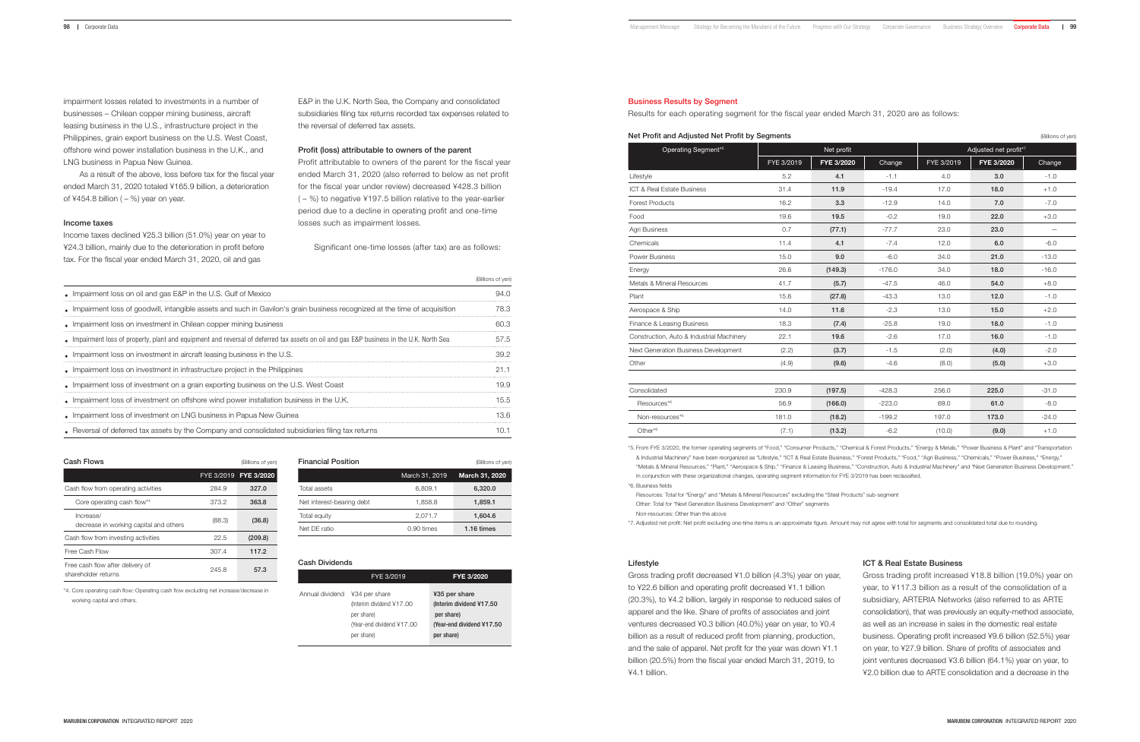impairment losses related to investments in a number of businesses – Chilean copper mining business, aircraft leasing business in the U.S., infrastructure project in the Philippines, grain export business on the U.S. West Coast, offshore wind power installation business in the U.K., and LNG business in Papua New Guinea.

As a result of the above, loss before tax for the fiscal year ended March 31, 2020 totaled ¥165.9 billion, a deterioration of ¥454.8 billion  $(-%)$  year on year.

#### Income taxes

Income taxes declined ¥25.3 billion (51.0%) year on year to ¥24.3 billion, mainly due to the deterioration in profit before tax. For the fiscal year ended March 31, 2020, oil and gas

E&P in the U.K. North Sea, the Company and consolidated subsidiaries filing tax returns recorded tax expenses related to the reversal of deferred tax assets.

#### Profit (loss) attributable to owners of the parent

Profit attributable to owners of the parent for the fiscal year ended March 31, 2020 (also referred to below as net profit for the fiscal year under review) decreased ¥428.3 billion  $(-\%)$  to negative ¥197.5 billion relative to the year-earlier period due to a decline in operating profit and one-time losses such as impairment losses.

Significant one-time losses (after tax) are as follows:

(Billions of yen)

|                                                                                                                                        | <b>U</b> TONINGI IS OF YELL |
|----------------------------------------------------------------------------------------------------------------------------------------|-----------------------------|
| • Impairment loss on oil and gas E&P in the U.S. Gulf of Mexico                                                                        | 94.0                        |
| Impairment loss of goodwill, intangible assets and such in Gavilon's grain business recognized at the time of acquisition              | 78.3                        |
| • Impairment loss on investment in Chilean copper mining business                                                                      | 60.3                        |
| Impairment loss of property, plant and equipment and reversal of deferred tax assets on oil and qas E&P business in the U.K. North Sea | 57.5                        |
| • Impairment loss on investment in aircraft leasing business in the U.S.                                                               | 39.2                        |
| • Impairment loss on investment in infrastructure project in the Philippines                                                           | 21.1                        |
| • Impairment loss of investment on a grain exporting business on the U.S. West Coast                                                   | 19.9                        |
| . Impairment loss of investment on offshore wind power installation business in the U.K.                                               | 15.5                        |
| • Impairment loss of investment on LNG business in Papua New Guinea                                                                    | 13.6                        |
| • Reversal of deferred tax assets by the Company and consolidated subsidiaries filing tax returns                                      | 10.1                        |
|                                                                                                                                        |                             |

(Billions of yen)

|  | Cash Flows |
|--|------------|
|--|------------|

|                                                         |        | FYE 3/2019 FYE 3/2020 |
|---------------------------------------------------------|--------|-----------------------|
| Cash flow from operating activities                     | 284.9  | 327.0                 |
| Core operating cash flow*4                              | 373.2  | 363.8                 |
| Increase/<br>decrease in working capital and others     | (88.3) | (36.8)                |
| Cash flow from investing activities                     | 22.5   | (209.8)               |
| Free Cash Flow                                          | 307.4  | 117.2                 |
| Free cash flow after delivery of<br>shareholder returns | 245.8  | 57.3                  |

\*4. Core operating cash flow: Operating cash flow excluding net increase/decrease in

**Financial Position** (Billions of yen) March 31, 2019 March 31, 2020 Total assets 6,809.1 6,320.0 Net interest-bearing debt 1,858.8 1,859.1 Total equity 2,071.7 **1,604.6** Net DE ratio **0.90 times** 1.16 times

working capital and others.

| Cash Dividends  |                                                                                                    |                                                                                                      |
|-----------------|----------------------------------------------------------------------------------------------------|------------------------------------------------------------------------------------------------------|
|                 | FYE 3/2019                                                                                         | FYE 3/2020                                                                                           |
| Annual dividend | ¥34 per share<br>(Interim dividend ¥17.00<br>per share)<br>(Year-end dividend ¥17.00<br>per share) | ¥35 per share<br>(Interim dividend ¥17.50)<br>per share)<br>(Year-end dividend ¥17.50)<br>per share) |

#### Business Results by Segment

Results for each operating segment for the fiscal year ended March 31, 2020 are as follows:

| Net Profit and Adjusted Net Profit by Segments<br>(Billions of yen) |            |            |          |            |                       |         |  |  |
|---------------------------------------------------------------------|------------|------------|----------|------------|-----------------------|---------|--|--|
| Operating Segment <sup>*5</sup>                                     |            | Net profit |          |            | Adjusted net profit*7 |         |  |  |
|                                                                     | FYE 3/2019 | FYE 3/2020 | Change   | FYE 3/2019 | FYE 3/2020            | Change  |  |  |
| Lifestyle                                                           | 5.2        | 4.1        | $-1.1$   | 4.0        | 3.0                   | $-1.0$  |  |  |
| ICT & Real Estate Business                                          | 31.4       | 11.9       | $-19.4$  | 17.0       | 18.0                  | $+1.0$  |  |  |
| <b>Forest Products</b>                                              | 16.2       | 3.3        | $-12.9$  | 14.0       | 7.0                   | $-7.0$  |  |  |
| Food                                                                | 19.6       | 19.5       | $-0.2$   | 19.0       | 22.0                  | $+3.0$  |  |  |
| Agri Business                                                       | 0.7        | (77.1)     | $-77.7$  | 23.0       | 23.0                  |         |  |  |
| Chemicals                                                           | 11.4       | 4.1        | $-7.4$   | 12.0       | 6.0                   | $-6.0$  |  |  |
| <b>Power Business</b>                                               | 15.0       | 9.0        | $-6.0$   | 34.0       | 21.0                  | $-13.0$ |  |  |
| Energy                                                              | 26.6       | (149.3)    | $-176.0$ | 34.0       | 18.0                  | $-16.0$ |  |  |
| Metals & Mineral Resources                                          | 41.7       | (5.7)      | $-47.5$  | 46.0       | 54.0                  | $+8.0$  |  |  |
| Plant                                                               | 15.6       | (27.8)     | $-43.3$  | 13.0       | 12.0                  | $-1.0$  |  |  |
| Aerospace & Ship                                                    | 14.0       | 11.6       | $-2.3$   | 13.0       | 15.0                  | $+2.0$  |  |  |
| Finance & Leasing Business                                          | 18.3       | (7.4)      | $-25.8$  | 19.0       | 18.0                  | $-1.0$  |  |  |
| Construction, Auto & Industrial Machinery                           | 22.1       | 19.6       | $-2.6$   | 17.0       | 16.0                  | $-1.0$  |  |  |
| Next Generation Business Development                                | (2.2)      | (3.7)      | $-1.5$   | (2.0)      | (4.0)                 | $-2.0$  |  |  |
| Other                                                               | (4.9)      | (9.6)      | $-4.6$   | (8.0)      | (5.0)                 | $+3.0$  |  |  |
|                                                                     |            |            |          |            |                       |         |  |  |
| Consolidated                                                        | 230.9      | (197.5)    | $-428.3$ | 256.0      | 225.0                 | $-31.0$ |  |  |
| Resources <sup>*6</sup>                                             | 56.9       | (166.0)    | $-223.0$ | 69.0       | 61.0                  | $-8.0$  |  |  |
| Non-resources*6                                                     | 181.0      | (18.2)     | $-199.2$ | 197.0      | 173.0                 | $-24.0$ |  |  |
| Other $*6$                                                          | (7.1)      | (13.2)     | $-6.2$   | (10.0)     | (9.0)                 | $+1.0$  |  |  |
|                                                                     |            |            |          |            |                       |         |  |  |

\*5. From FYE 3/2020, the former operating segments of "Food," "Consumer Products," "Chemical & Forest Products," "Energy & Metals," "Power Business & Plant" and "Transportation & Industrial Machinery" have been reorganized as "Lifestyle," "ICT & Real Estate Business," "Forest Products," "Food," "Agri Business," "Chemicals," "Power Business," "Energy," "Metals & Mineral Resources," "Plant," "Aerospace & Ship," "Finance & Leasing Business," "Construction, Auto & Industrial Machinery" and "Next Generation Business Development."

In conjunction with these organizational changes, operating segment information for FYE 3/2019 has been reclassified. \*6. Business fields

Resources: Total for "Energy" and "Metals & Mineral Resources" excluding the "Steel Products" sub-segment Other: Total for "Next Generation Business Development" and "Other" segments Non-resources: Other than the above

\*7. Adjusted net profit: Net profit excluding one-time items is an approximate figure. Amount may not agree with total for segments and consolidated total due to rounding.

#### Lifestyle

Gross trading profit decreased ¥1.0 billion (4.3%) year on year, to ¥22.6 billion and operating profit decreased ¥1.1 billion (20.3%), to ¥4.2 billion, largely in response to reduced sales of apparel and the like. Share of profits of associates and joint ventures decreased ¥0.3 billion (40.0%) year on year, to ¥0.4 billion as a result of reduced profit from planning, production, and the sale of apparel. Net profit for the year was down ¥1.1 billion (20.5%) from the fiscal year ended March 31, 2019, to ¥4.1 billion.

# ICT & Real Estate Business

Gross trading profit increased ¥18.8 billion (19.0%) year on year, to ¥117.3 billion as a result of the consolidation of a subsidiary, ARTERIA Networks (also referred to as ARTE consolidation), that was previously an equity-method associate, as well as an increase in sales in the domestic real estate business. Operating profit increased ¥9.6 billion (52.5%) year on year, to ¥27.9 billion. Share of profits of associates and joint ventures decreased ¥3.6 billion (64.1%) year on year, to ¥2.0 billion due to ARTE consolidation and a decrease in the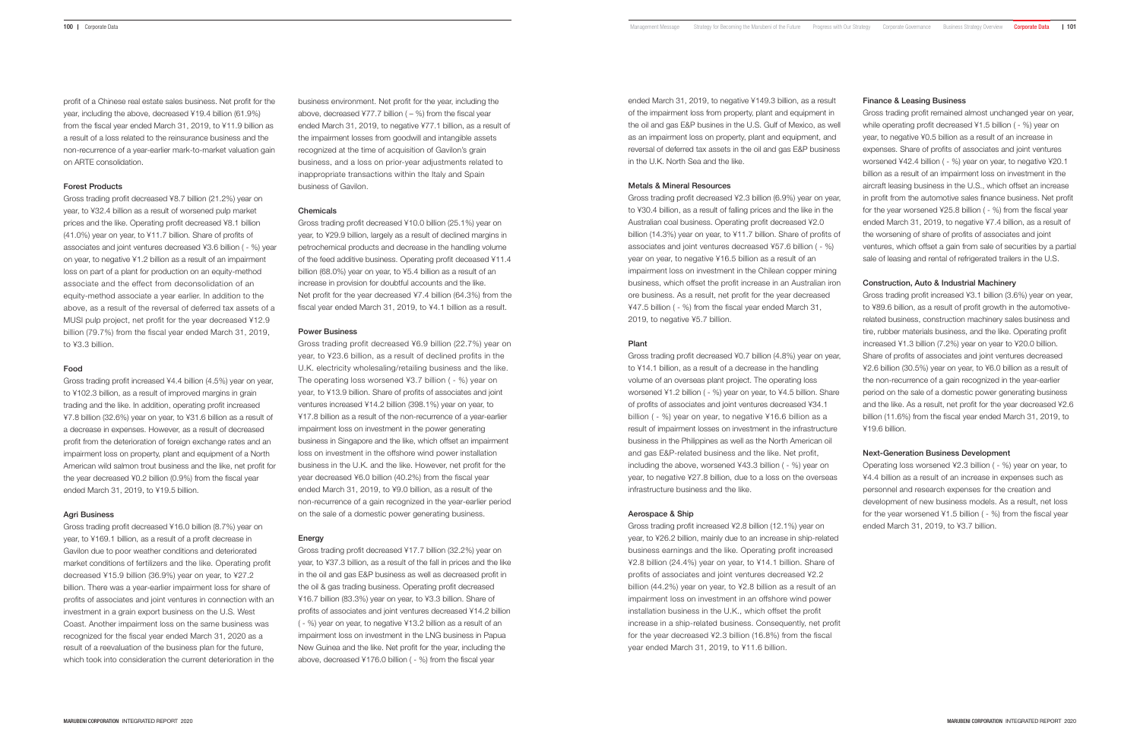profit of a Chinese real estate sales business. Net profit for the year, including the above, decreased ¥19.4 billion (61.9%) from the fiscal year ended March 31, 2019, to ¥11.9 billion as a result of a loss related to the reinsurance business and the non-recurrence of a year-earlier mark-to-market valuation gain on ARTE consolidation.

# Forest Products

Gross trading profit decreased ¥8.7 billion (21.2%) year on year, to ¥32.4 billion as a result of worsened pulp market prices and the like. Operating profit decreased ¥8.1 billion (41.0%) year on year, to ¥11.7 billion. Share of profits of associates and joint ventures decreased ¥3.6 billion ( - %) year on year, to negative ¥1.2 billion as a result of an impairment loss on part of a plant for production on an equity-method associate and the effect from deconsolidation of an equity-method associate a year earlier. In addition to the above, as a result of the reversal of deferred tax assets of a MUSI pulp project, net profit for the year decreased ¥12.9 billion (79.7%) from the fiscal year ended March 31, 2019, to ¥3.3 billion.

### Food

Gross trading profit increased ¥4.4 billion (4.5%) year on year, to ¥102.3 billion, as a result of improved margins in grain trading and the like. In addition, operating profit increased ¥7.8 billion (32.6%) year on year, to ¥31.6 billion as a result of a decrease in expenses. However, as a result of decreased profit from the deterioration of foreign exchange rates and an impairment loss on property, plant and equipment of a North American wild salmon trout business and the like, net profit for the year decreased ¥0.2 billion (0.9%) from the fiscal year ended March 31, 2019, to ¥19.5 billion.

# Agri Business

Gross trading profit decreased ¥16.0 billion (8.7%) year on year, to ¥169.1 billion, as a result of a profit decrease in Gavilon due to poor weather conditions and deteriorated market conditions of fertilizers and the like. Operating profit decreased ¥15.9 billion (36.9%) year on year, to ¥27.2 billion. There was a year-earlier impairment loss for share of profits of associates and joint ventures in connection with an investment in a grain export business on the U.S. West Coast. Another impairment loss on the same business was recognized for the fiscal year ended March 31, 2020 as a result of a reevaluation of the business plan for the future, which took into consideration the current deterioration in the

business environment. Net profit for the year, including the above, decreased ¥77.7 billion  $(-%)$  from the fiscal year ended March 31, 2019, to negative ¥77.1 billion, as a result of the impairment losses from goodwill and intangible assets recognized at the time of acquisition of Gavilon's grain business, and a loss on prior-year adjustments related to inappropriate transactions within the Italy and Spain business of Gavilon.

# Chemicals

Gross trading profit decreased ¥10.0 billion (25.1%) year on year, to ¥29.9 billion, largely as a result of declined margins in petrochemical products and decrease in the handling volume of the feed additive business. Operating profit deceased ¥11.4 billion (68.0%) year on year, to ¥5.4 billion as a result of an increase in provision for doubtful accounts and the like. Net profit for the year decreased ¥7.4 billion (64.3%) from the fiscal year ended March 31, 2019, to ¥4.1 billion as a result.

# Power Business

Gross trading profit decreased ¥6.9 billion (22.7%) year on year, to ¥23.6 billion, as a result of declined profits in the U.K. electricity wholesaling/retailing business and the like. The operating loss worsened ¥3.7 billion ( - %) year on year, to ¥13.9 billion. Share of profits of associates and joint ventures increased ¥14.2 billion (398.1%) year on year, to ¥17.8 billion as a result of the non-recurrence of a year-earlier impairment loss on investment in the power generating business in Singapore and the like, which offset an impairment loss on investment in the offshore wind power installation business in the U.K. and the like. However, net profit for the year decreased ¥6.0 billion (40.2%) from the fiscal year ended March 31, 2019, to ¥9.0 billion, as a result of the non-recurrence of a gain recognized in the year-earlier period on the sale of a domestic power generating business.

# Energy

Gross trading profit decreased ¥17.7 billion (32.2%) year on year, to ¥37.3 billion, as a result of the fall in prices and the like in the oil and gas E&P business as well as decreased profit in the oil & gas trading business. Operating profit decreased ¥16.7 billion (83.3%) year on year, to ¥3.3 billion. Share of profits of associates and joint ventures decreased ¥14.2 billion ( - %) year on year, to negative ¥13.2 billion as a result of an impairment loss on investment in the LNG business in Papua New Guinea and the like. Net profit for the year, including the above, decreased ¥176.0 billion ( - %) from the fiscal year

ended March 31, 2019, to negative ¥149.3 billion, as a result of the impairment loss from property, plant and equipment in the oil and gas E&P busines in the U.S. Gulf of Mexico, as well as an impairment loss on property, plant and equipment, and reversal of deferred tax assets in the oil and gas E&P business in the U.K. North Sea and the like.

## Metals & Mineral Resources

Gross trading profit decreased ¥2.3 billion (6.9%) year on year, to ¥30.4 billion, as a result of falling prices and the like in the Australian coal business. Operating profit decreased ¥2.0 billion (14.3%) year on year, to ¥11.7 billion. Share of profits of associates and joint ventures decreased ¥57.6 billion ( - %) year on year, to negative ¥16.5 billion as a result of an impairment loss on investment in the Chilean copper mining business, which offset the profit increase in an Australian iron ore business. As a result, net profit for the year decreased ¥47.5 billion ( - %) from the fiscal year ended March 31, 2019, to negative ¥5.7 billion.

# Plant

Gross trading profit decreased ¥0.7 billion (4.8%) year on year, to ¥14.1 billion, as a result of a decrease in the handling volume of an overseas plant project. The operating loss worsened ¥1.2 billion ( - %) year on year, to ¥4.5 billion. Share of profits of associates and joint ventures decreased ¥34.1 billion ( - %) year on year, to negative ¥16.6 billion as a result of impairment losses on investment in the infrastructure business in the Philippines as well as the North American oil and gas E&P-related business and the like. Net profit, including the above, worsened ¥43.3 billion ( - %) year on year, to negative ¥27.8 billion, due to a loss on the overseas infrastructure business and the like.

### Aerospace & Ship

Gross trading profit increased ¥2.8 billion (12.1%) year on year, to ¥26.2 billion, mainly due to an increase in ship-related business earnings and the like. Operating profit increased ¥2.8 billion (24.4%) year on year, to ¥14.1 billion. Share of profits of associates and joint ventures decreased ¥2.2 billion (44.2%) year on year, to ¥2.8 billion as a result of an impairment loss on investment in an offshore wind power installation business in the U.K., which offset the profit increase in a ship-related business. Consequently, net profit for the year decreased ¥2.3 billion (16.8%) from the fiscal year ended March 31, 2019, to ¥11.6 billion.

#### Finance & Leasing Business

Gross trading profit remained almost unchanged year on year, while operating profit decreased ¥1.5 billion ( - %) year on year, to negative ¥0.5 billion as a result of an increase in expenses. Share of profits of associates and joint ventures worsened ¥42.4 billion ( - %) year on year, to negative ¥20.1 billion as a result of an impairment loss on investment in the aircraft leasing business in the U.S., which offset an increase in profit from the automotive sales finance business. Net profit for the year worsened ¥25.8 billion ( - %) from the fiscal year ended March 31, 2019, to negative ¥7.4 billion, as a result of the worsening of share of profits of associates and joint ventures, which offset a gain from sale of securities by a partial sale of leasing and rental of refrigerated trailers in the U.S.

# Construction, Auto & Industrial Machinery

Gross trading profit increased ¥3.1 billion (3.6%) year on year, to ¥89.6 billion, as a result of profit growth in the automotiverelated business, construction machinery sales business and tire, rubber materials business, and the like. Operating profit increased ¥1.3 billion (7.2%) year on year to ¥20.0 billion. Share of profits of associates and joint ventures decreased ¥2.6 billion (30.5%) year on year, to ¥6.0 billion as a result of the non-recurrence of a gain recognized in the year-earlier period on the sale of a domestic power generating business and the like. As a result, net profit for the year decreased ¥2.6 billion (11.6%) from the fiscal year ended March 31, 2019, to ¥19.6 billion.

# Next-Generation Business Development

Operating loss worsened ¥2.3 billion ( - %) year on year, to ¥4.4 billion as a result of an increase in expenses such as personnel and research expenses for the creation and development of new business models. As a result, net loss for the year worsened ¥1.5 billion ( - %) from the fiscal year ended March 31, 2019, to ¥3.7 billion.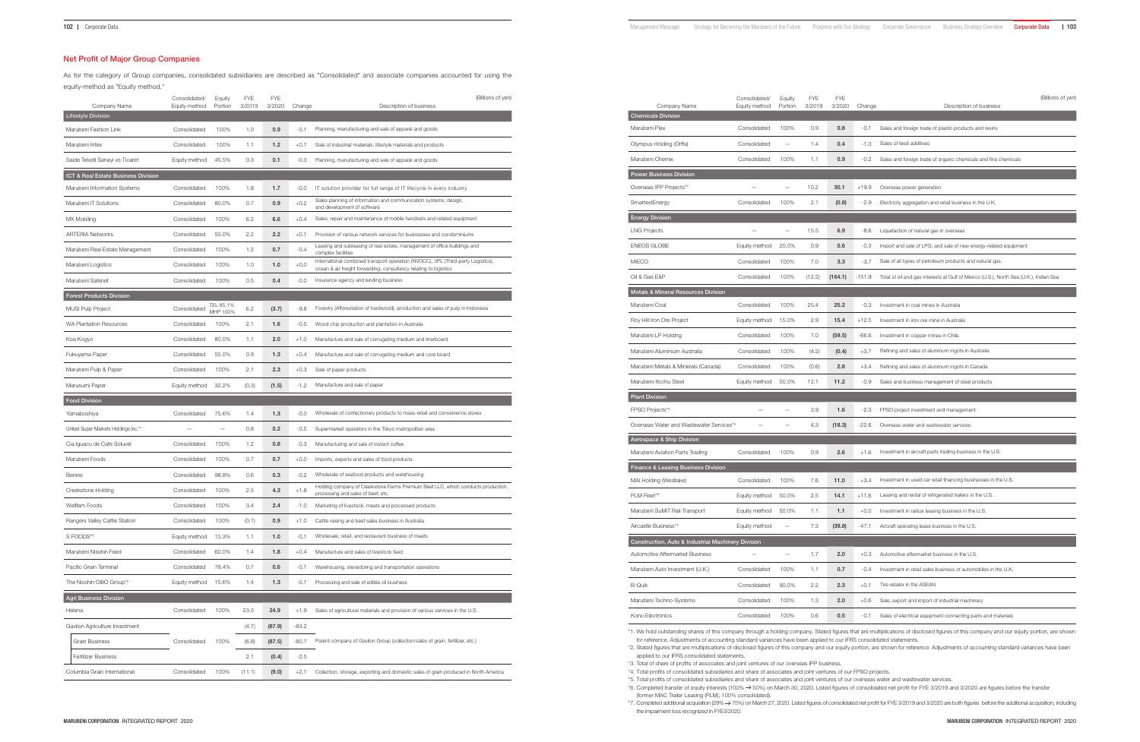# Net Profit of Major Group Companies

As for the category of Group companies, consolidated subsidiaries are described as "Consolidated" and associate companies accounted for using the equity-method as "Equity method."

| Company Name                         | Consolidated/<br>Equity method | Equity<br>Portion        | <b>FYE</b><br>3/2019 | <b>FYE</b><br>3/2020 | Change  | (Billions of yen)<br>Description of business                                                                                                          |
|--------------------------------------|--------------------------------|--------------------------|----------------------|----------------------|---------|-------------------------------------------------------------------------------------------------------------------------------------------------------|
| <b>Lifestyle Division</b>            |                                |                          |                      |                      |         |                                                                                                                                                       |
| Marubeni Fashion Link                | Consolidated                   | 100%                     | 1.0                  | 0.9                  | $-0.1$  | Planning, manufacturing and sale of apparel and goods                                                                                                 |
| Marubeni Intex                       | Consolidated                   | 100%                     | 1.1                  | 1.2                  | $+0.1$  | Sale of industrial materials, lifestyle materials and products                                                                                        |
| Saide Tekstil Sanayi ve Ticaret      | Equity method                  | 45.5%                    | 0.3                  | 0.1                  | $-0.3$  | Planning, manufacturing and sale of apparel and goods                                                                                                 |
| ICT & Real Estate Business Division  |                                |                          |                      |                      |         |                                                                                                                                                       |
| Marubeni Information Systems         | Consolidated                   | 100%                     | 1.8                  | 1.7                  | $-0.0$  | IT solution provider for full range of IT lifecycle in every industry                                                                                 |
| Marubeni IT Solutions                | Consolidated                   | 80.0%                    | 0.7                  | 0.9                  | $+0.2$  | Sales planning of information and communication systems, design,<br>and development of software                                                       |
| MX Mobiling                          | Consolidated                   | 100%                     | 6.2                  | 6.6                  | $+0.4$  | Sales, repair and maintenance of mobile handsets and related equipment                                                                                |
| <b>ARTERIA Networks</b>              | Consolidated                   | 50.0%                    | 2.2                  | 2.2                  | $+0.1$  | Provision of various network services for businesses and condominiums                                                                                 |
| Marubeni Real Estate Management      | Consolidated                   | 100%                     | 1.2                  | 0.7                  | $-0.4$  | Leasing and subleasing of real estate, management of office buildings and<br>complex facilities                                                       |
| Marubeni Logistics                   | Consolidated                   | 100%                     | 1.0                  | 1.0                  | $+0.0$  | International combined transport operation (NVOCC), 3PL (Third-party Logistics),<br>ocean & air freight forwarding, consultancy relating to logistics |
| Marubeni Safenet                     | Consolidated                   | 100%                     | 0.5                  | 0.4                  | $-0.0$  | Insurance agency and lending business                                                                                                                 |
| <b>Forest Products Division</b>      |                                |                          |                      |                      |         |                                                                                                                                                       |
| <b>MUSI Pulp Project</b>             | Consolidated                   | TEL 85.1%<br>MHP 100%    | 6.2                  | (3.7)                | $-9.8$  | Forestry (Afforestation of hardwood), production and sales of pulp in Indonesia                                                                       |
| <b>WA Plantation Resources</b>       | Consolidated                   | 100%                     | 2.1                  | 1.6                  | $-0.5$  | Wood chip production and plantation in Australia                                                                                                      |
| Koa Kogyo                            | Consolidated                   | 80.0%                    | 1.1                  | 2.0                  | $+1.0$  | Manufacture and sale of corrugating medium and linerboard                                                                                             |
| Fukuyama Paper                       | Consolidated                   | 55.0%                    | 0.9                  | 1.3                  | $+0.4$  | Manufacture and sale of corrugating medium and core board                                                                                             |
| Marubeni Pulp & Paper                | Consolidated                   | 100%                     | 2.1                  | 2.3                  | $+0.3$  | Sale of paper products                                                                                                                                |
| Marusumi Paper                       | Equity method                  | 32.2%                    | (0.3)                | (1.5)                | $-1.2$  | Manufacture and sale of paper                                                                                                                         |
| <b>Food Division</b>                 |                                |                          |                      |                      |         |                                                                                                                                                       |
| Yamaboshiya                          | Consolidated                   | 75.6%                    | 1.4                  | 1.3                  | $-0.0$  | Wholesale of confectionery products to mass-retail and convenience stores                                                                             |
| United Super Markets Holdings Inc.*1 |                                | $\overline{\phantom{0}}$ | 0.8                  | 0.2                  | $-0.5$  | Supermarket operators in the Tokyo metropolitan area                                                                                                  |
| Cia.Iguacu de Cafe Soluvel           | Consolidated                   | 100%                     | 1.2                  | 0.8                  | $-0.3$  | Manufacturing and sale of instant coffee                                                                                                              |
| Marubeni Foods                       | Consolidated                   | 100%                     | 0.7                  | 0.7                  | $+0.0$  | Imports, exports and sales of food products                                                                                                           |
| Benirei                              | Consolidated                   | 98.8%                    | 0.6                  | 0.3                  | $-0.2$  | Wholesale of seafood products and warehousing                                                                                                         |
| Creekstone Holding                   | Consolidated                   | 100%                     | 2.5                  | 4.3                  | $+1.8$  | Holding company of Creekstone Farms Premium Beef LLC, which conducts production,<br>processing and sales of beef, etc.                                |
| <b>Wellfam Foods</b>                 | Consolidated                   | 100%                     | 3.4                  | 2.4                  | $-1.0$  | Marketing of livestock, meats and processed products                                                                                                  |
| Rangers Valley Cattle Station        | Consolidated                   | 100%                     | (0.1)                | 0.9                  | $+1.0$  | Cattle raising and beef sales business in Australia                                                                                                   |
| S FOODS*2                            | Equity method                  | 15.3%                    | 1.1                  | 1.0                  | $-0.1$  | Wholesale, retail, and restaurant business of meats                                                                                                   |
| Marubeni Nisshin Feed                | Consolidated                   | 60.0%                    | 1.4                  | 1.8                  | $+0.4$  | Manufacture and sales of livestock feed                                                                                                               |
| Pacific Grain Terminal               | Consolidated                   | 78.4%                    | 0.7                  | 0.6                  | $-0.1$  | Warehousing, stevedoring and transportation operations                                                                                                |
| The Nisshin OilliO Group*2           | Equity method                  | 15.6%                    | 1.4                  | 1.3                  | $-0.1$  | Processing and sale of edible oil business                                                                                                            |
| <b>Agri Business Division</b>        |                                |                          |                      |                      |         |                                                                                                                                                       |
| Helena                               | Consolidated                   | 100%                     | 23.0                 | 24.9                 | $+1.9$  | Sales of agricultural materials and provision of various services in the U.S.                                                                         |
| Gavilon Agriculture Investment       |                                |                          | (4.7)                | (87.9)               | $-83.2$ |                                                                                                                                                       |
| <b>Grain Business</b>                | Consolidated                   | 100%                     | (6.8)                | (87.5)               | $-80.7$ | Parent company of Gavilon Group (collection/sales of grain, fertilizer, etc.)                                                                         |
| <b>Fertilizer Business</b>           |                                |                          | 2.1                  | (0.4)                | $-2.5$  |                                                                                                                                                       |
| Columbia Grain International         | Consolidated                   | 100%                     | (11.1)               | (9.0)                | $+2.1$  | Collection, storage, exporting and domestic sales of grain produced in North America                                                                  |

| (Billions of yen) | Company Name<br><b>Chemicals Division</b>          | Consolidated/<br>Equity method | Equity<br>Portion        | FYE.<br>3/2019 | <b>FYE</b><br>3/2020 | Change  | (Billions of yen)<br>Description of business                                                                                                                                             |
|-------------------|----------------------------------------------------|--------------------------------|--------------------------|----------------|----------------------|---------|------------------------------------------------------------------------------------------------------------------------------------------------------------------------------------------|
|                   | Marubeni Plax                                      | Consolidated                   | 100%                     | 0.9            | 0.8                  | $-0.1$  | Sales and foreign trade of plastic products and resins                                                                                                                                   |
|                   | Olympus Holding (Orffa)                            | Consolidated                   | $\overline{\phantom{a}}$ | 1.4            | 0.4                  | $-1.0$  | Sales of feed additives                                                                                                                                                                  |
|                   | Marubeni Chemix                                    | Consolidated                   | 100%                     | 1.1            | 0.9                  | -0.2    | Sales and foreign trade of organic chemicals and fine chemicals                                                                                                                          |
|                   | <b>Power Business Division</b>                     |                                |                          |                |                      |         |                                                                                                                                                                                          |
|                   | Overseas IPP Projects*3                            | -                              | $\overline{\phantom{m}}$ | 10.2           | 30.1                 | $+19.9$ | Overseas power generation                                                                                                                                                                |
|                   | SmartestEnergy                                     | Consolidated                   | 100%                     | 2.1            | (0.8)                | -2.9    | Electricity aggregation and retail business in the U.K.                                                                                                                                  |
|                   | <b>Energy Division</b>                             |                                |                          |                |                      |         |                                                                                                                                                                                          |
|                   | <b>LNG Projects</b>                                | -                              | $\overline{\phantom{m}}$ | 15.5           | 6.9                  | -8.6    | Liquefaction of natural gas in overseas                                                                                                                                                  |
| d                 | <b>ENEOS GLOBE</b>                                 | Equity method                  | 20.0%                    | 0.9            | 0.6                  | -0.3    | Import and sale of LPG, and sale of new energy-related equipment                                                                                                                         |
| ogistics),        | <b>MIECO</b>                                       | Consolidated                   | 100%                     | 7.0            | 3.3                  | -3.7    | Sale of all types of petroleum products and natural gas                                                                                                                                  |
|                   | Oil & Gas E&P                                      | Consolidated                   | 100%                     | (12.2)         | (164.1)              | -151.9  | Total of oil and gas interests at Gulf of Mexico (U.S.), North Sea (U.K.), Indian Sea                                                                                                    |
|                   | <b>Metals &amp; Mineral Resources Division</b>     |                                |                          |                |                      |         |                                                                                                                                                                                          |
| nesia             | Marubeni Coal                                      | Consolidated                   | 100%                     | 25.4           | 25.2                 | $-0.3$  | Investment in coal mines in Australia                                                                                                                                                    |
|                   | Roy Hill Iron Ore Project                          | Equity method                  | 15.0%                    | 2.9            | 15.4                 | $+12.5$ | Investment in iron ore mine in Australia                                                                                                                                                 |
|                   | Marubeni LP Holding                                | Consolidated                   | 100%                     | 7.0            | (59.5)               | -66.6   | Investment in copper mines in Chile                                                                                                                                                      |
|                   | Marubeni Aluminium Australia                       | Consolidated                   | 100%                     | (4.2)          | (0.4)                | $+3.7$  | Refining and sales of aluminum ingots in Australia                                                                                                                                       |
|                   | Marubeni Metals & Minerals (Canada)                | Consolidated                   | 100%                     | (0.6)          | 2.8                  | $+3.4$  | Refining and sales of aluminum ingots in Canada                                                                                                                                          |
|                   | Marubeni-Itochu Steel                              | Equity method                  | 50.0%                    | 12.1           | 11.2                 | -0.9    | Sales and business management of steel products                                                                                                                                          |
|                   | <b>Plant Division</b>                              |                                |                          |                |                      |         |                                                                                                                                                                                          |
|                   | FPSO Projects*4                                    | $\overline{\phantom{0}}$       | $\overline{\phantom{m}}$ | 3.9            | 1.6                  | -2.3    | FPSO project investment and management                                                                                                                                                   |
| es                | Overseas Water and Wastewater Services*5           |                                |                          | 4.3            | (18.3)               | $-22.6$ | Overseas water and wastewater services                                                                                                                                                   |
|                   | Aerospace & Ship Division                          |                                |                          |                |                      |         |                                                                                                                                                                                          |
|                   | Marubeni Aviation Parts Trading                    | Consolidated                   | 100%                     | 0.9            | 2.6                  | $+1.6$  | Investment in aircraft parts trading business in the U.S.                                                                                                                                |
|                   | Finance & Leasing Business Division                |                                |                          |                |                      |         |                                                                                                                                                                                          |
| cts production,   | MAI Holding (Westlake)                             | Consolidated                   | 100%                     | 7.6            | 11.0                 | $+3.4$  | Investment in used car retail financing businesses in the U.S.                                                                                                                           |
|                   | PLM Fleet*6                                        | Equity method                  | 50.0%                    | 2.5            | 14.1                 | $+11.6$ | Leasing and rental of refrigerated trailers in the U.S.                                                                                                                                  |
|                   | Marubeni SuMiT Rail Transport                      | Equity method 50.0%            |                          | 1.1            | 1.1                  | $+0.0$  | Investment in railcar leasing business in the U.S.                                                                                                                                       |
|                   | Aircastle Business*7                               | Equity method                  | $\overline{\phantom{m}}$ | 7.3            | (39.8)               | $-47.1$ | Aircraft operating lease business in the U.S.                                                                                                                                            |
|                   | Construction, Auto & Industrial Machinery Division |                                |                          |                |                      |         |                                                                                                                                                                                          |
|                   | Automotive Aftermarket Business                    | $\qquad \qquad -$              | $\overline{\phantom{m}}$ | 1.7            | 2.0                  | $+0.3$  | Automotive aftermarket business in the U.S.                                                                                                                                              |
|                   | Marubeni Auto Investment (U.K.)                    | Consolidated                   | 100%                     | 1.1            | 0.7                  | $-0.4$  | Investment in retail sales business of automobiles in the U.K.                                                                                                                           |
|                   | <b>B-Quik</b>                                      | Consolidated                   | 90.0%                    | 2.2            | 2.3                  | $+0.1$  | Tire retailer in the ASEAN                                                                                                                                                               |
|                   | Marubeni Techno-Systems                            | Consolidated                   | 100%                     | 1.3            | 2.0                  | $+0.6$  | Sale, export and import of industrial machinery                                                                                                                                          |
|                   | Kono Electronics                                   | Consolidated                   | 100%                     | 0.6            | 0.5                  | $-0.1$  | Sales of electrical equipment connecting parts and materials                                                                                                                             |
|                   |                                                    |                                |                          |                |                      |         | *1. We hold outstanding shares of this company through a holding company. Stated figures that are multiplications of disclosed figures of this company and our equity portion, are shown |

for reference. Adjustments of accounting standard variances have been applied to our IFRS consolidated statements.

\*2. Stated figures that are multiplications of disclosed figures of this company and our equity portion, are shown for reference. Adjustments of accounting standard variances have been applied to our IFRS consolidated statements.

\*3. Total of share of profits of associates and joint ventures of our overseas IPP business.

\*4. Total profits of consolidated subsidiaries and share of associates and joint ventures of our FPSO projects.

\*5. Total profits of consolidated subsidiaries and share of associates and joint ventures of our overseas water and wastewater services.

\*6. Completed transfer of equity interests (100%  $\rightarrow$  50%) on March 30, 2020. Listed figures of consolidated net profit for FYE 3/2019 and 3/2020 are figures before the transfer

(former MAC Trailer Leasing (PLM), 100% consolidated).

\*7. Completed additional acquisition (29% 75%) on March 27, 2020. Listed figures of consolidated net profit for FYE 3/2019 and 3/2020 are both figures before the additional acquisition, including the impairment loss recognized in FYE3/2020.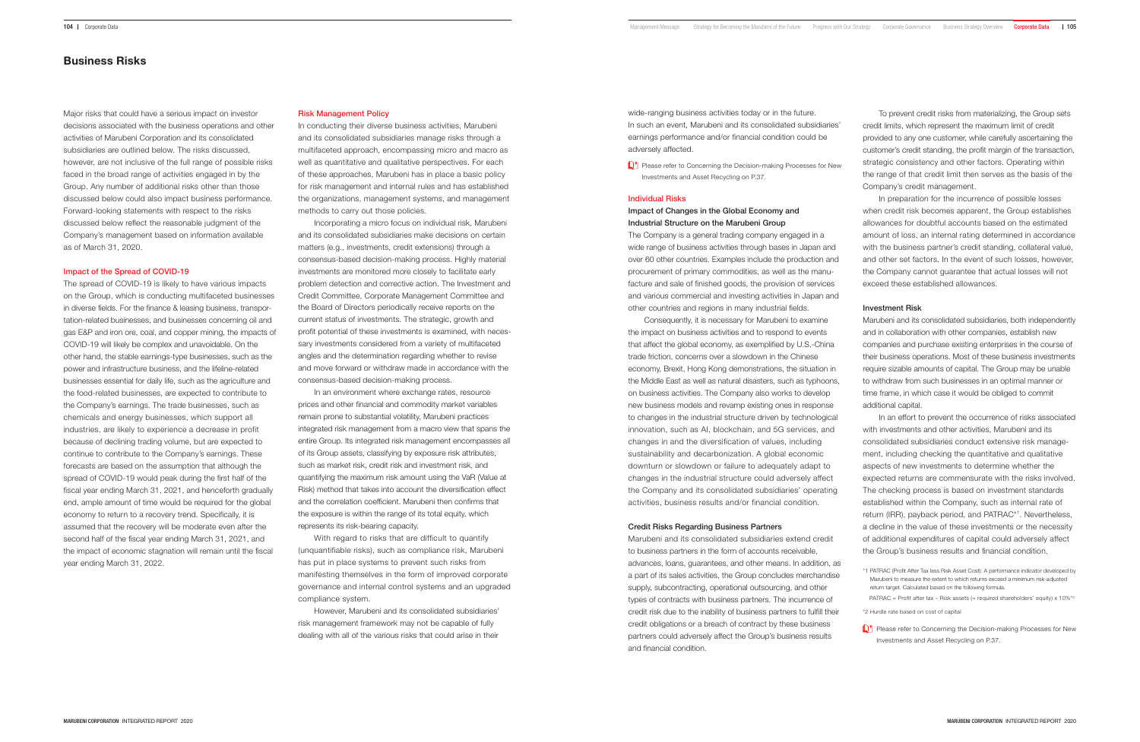Major risks that could have a serious impact on investor decisions associated with the business operations and other activities of Marubeni Corporation and its consolidated subsidiaries are outlined below. The risks discussed, however, are not inclusive of the full range of possible risks faced in the broad range of activities engaged in by the Group. Any number of additional risks other than those discussed below could also impact business performance. Forward-looking statements with respect to the risks discussed below reflect the reasonable judgment of the Company's management based on information available as of March 31, 2020.

#### Impact of the Spread of COVID-19

The spread of COVID-19 is likely to have various impacts on the Group, which is conducting multifaceted businesses in diverse fields. For the finance & leasing business, transportation-related businesses, and businesses concerning oil and gas E&P and iron ore, coal, and copper mining, the impacts of COVID-19 will likely be complex and unavoidable. On the other hand, the stable earnings-type businesses, such as the power and infrastructure business, and the lifeline-related businesses essential for daily life, such as the agriculture and the food-related businesses, are expected to contribute to the Company's earnings. The trade businesses, such as chemicals and energy businesses, which support all industries, are likely to experience a decrease in profit because of declining trading volume, but are expected to continue to contribute to the Company's earnings. These forecasts are based on the assumption that although the spread of COVID-19 would peak during the first half of the fiscal year ending March 31, 2021, and henceforth gradually end, ample amount of time would be required for the global economy to return to a recovery trend. Specifically, it is assumed that the recovery will be moderate even after the second half of the fiscal year ending March 31, 2021, and the impact of economic stagnation will remain until the fiscal year ending March 31, 2022.

In an environment where exchange rates, resource prices and other financial and commodity market variables remain prone to substantial volatility, Marubeni practices integrated risk management from a macro view that spans the entire Group. Its integrated risk management encompasses all of its Group assets, classifying by exposure risk attributes, such as market risk, credit risk and investment risk, and quantifying the maximum risk amount using the VaR (Value at Risk) method that takes into account the diversification effect and the correlation coefficient. Marubeni then confirms that the exposure is within the range of its total equity, which represents its risk-bearing capacity.

#### Risk Management Policy

In conducting their diverse business activities, Marubeni and its consolidated subsidiaries manage risks through a multifaceted approach, encompassing micro and macro as well as quantitative and qualitative perspectives. For each of these approaches, Marubeni has in place a basic policy for risk management and internal rules and has established the organizations, management systems, and management methods to carry out those policies.

**P** Please refer to Concerning the Decision-making Processes for New Investments and Asset Recycling on P.37.

Incorporating a micro focus on individual risk, Marubeni and its consolidated subsidiaries make decisions on certain matters (e.g., investments, credit extensions) through a consensus-based decision-making process. Highly material investments are monitored more closely to facilitate early problem detection and corrective action. The Investment and Credit Committee, Corporate Management Committee and the Board of Directors periodically receive reports on the current status of investments. The strategic, growth and profit potential of these investments is examined, with necessary investments considered from a variety of multifaceted angles and the determination regarding whether to revise and move forward or withdraw made in accordance with the consensus-based decision-making process.

> Please refer to Concerning the Decision-making Processes for New Investments and Asset Recycling on P.37.

With regard to risks that are difficult to quantify (unquantifiable risks), such as compliance risk, Marubeni has put in place systems to prevent such risks from manifesting themselves in the form of improved corporate governance and internal control systems and an upgraded compliance system.

However, Marubeni and its consolidated subsidiaries' risk management framework may not be capable of fully dealing with all of the various risks that could arise in their

wide-ranging business activities today or in the future. In such an event, Marubeni and its consolidated subsidiaries' earnings performance and/or financial condition could be adversely affected.

To prevent credit risks from materializing, the Group sets credit limits, which represent the maximum limit of credit provided to any one customer, while carefully ascertaining the customer's credit standing, the profit margin of the transaction, strategic consistency and other factors. Operating within the range of that credit limit then serves as the basis of the Company's credit management.

In preparation for the incurrence of possible losses when credit risk becomes apparent, the Group establishes allowances for doubtful accounts based on the estimated amount of loss, an internal rating determined in accordance with the business partner's credit standing, collateral value, and other set factors. In the event of such losses, however, the Company cannot guarantee that actual losses will not exceed these established allowances.

#### Investment Risk

Marubeni and its consolidated subsidiaries, both independently and in collaboration with other companies, establish new companies and purchase existing enterprises in the course of their business operations. Most of these business investments require sizable amounts of capital. The Group may be unable to withdraw from such businesses in an optimal manner or time frame, in which case it would be obliged to commit additional capital.

In an effort to prevent the occurrence of risks associated with investments and other activities, Marubeni and its consolidated subsidiaries conduct extensive risk management, including checking the quantitative and qualitative aspects of new investments to determine whether the expected returns are commensurate with the risks involved. The checking process is based on investment standards established within the Company, such as internal rate of return (IRR), payback period, and PATRAC\*1. Nevertheless, a decline in the value of these investments or the necessity of additional expenditures of capital could adversely affect the Group's business results and financial condition.

PATRAC = Profit after tax - Risk assets (= required shareholders' equity) x  $10\%$ <sup>\*2</sup>

\*2 Hurdle rate based on cost of capital

# Business Risks

## Individual Risks

# Impact of Changes in the Global Economy and Industrial Structure on the Marubeni Group

The Company is a general trading company engaged in a wide range of business activities through bases in Japan and over 60 other countries. Examples include the production and procurement of primary commodities, as well as the manufacture and sale of finished goods, the provision of services and various commercial and investing activities in Japan and other countries and regions in many industrial fields.

Consequently, it is necessary for Marubeni to examine the impact on business activities and to respond to events that affect the global economy, as exemplified by U.S.-China trade friction, concerns over a slowdown in the Chinese economy, Brexit, Hong Kong demonstrations, the situation in the Middle East as well as natural disasters, such as typhoons, on business activities. The Company also works to develop new business models and revamp existing ones in response to changes in the industrial structure driven by technological innovation, such as AI, blockchain, and 5G services, and changes in and the diversification of values, including sustainability and decarbonization. A global economic downturn or slowdown or failure to adequately adapt to changes in the industrial structure could adversely affect the Company and its consolidated subsidiaries' operating activities, business results and/or financial condition.

# Credit Risks Regarding Business Partners

Marubeni and its consolidated subsidiaries extend credit to business partners in the form of accounts receivable, advances, loans, guarantees, and other means. In addition, as a part of its sales activities, the Group concludes merchandise supply, subcontracting, operational outsourcing, and other types of contracts with business partners. The incurrence of credit risk due to the inability of business partners to fulfill their credit obligations or a breach of contract by these business partners could adversely affect the Group's business results and financial condition.

<sup>\*1</sup> PATRAC (Profit After Tax less Risk Asset Cost): A performance indicator developed by Marubeni to measure the extent to which returns exceed a minimum risk-adjusted return target. Calculated based on the following formula.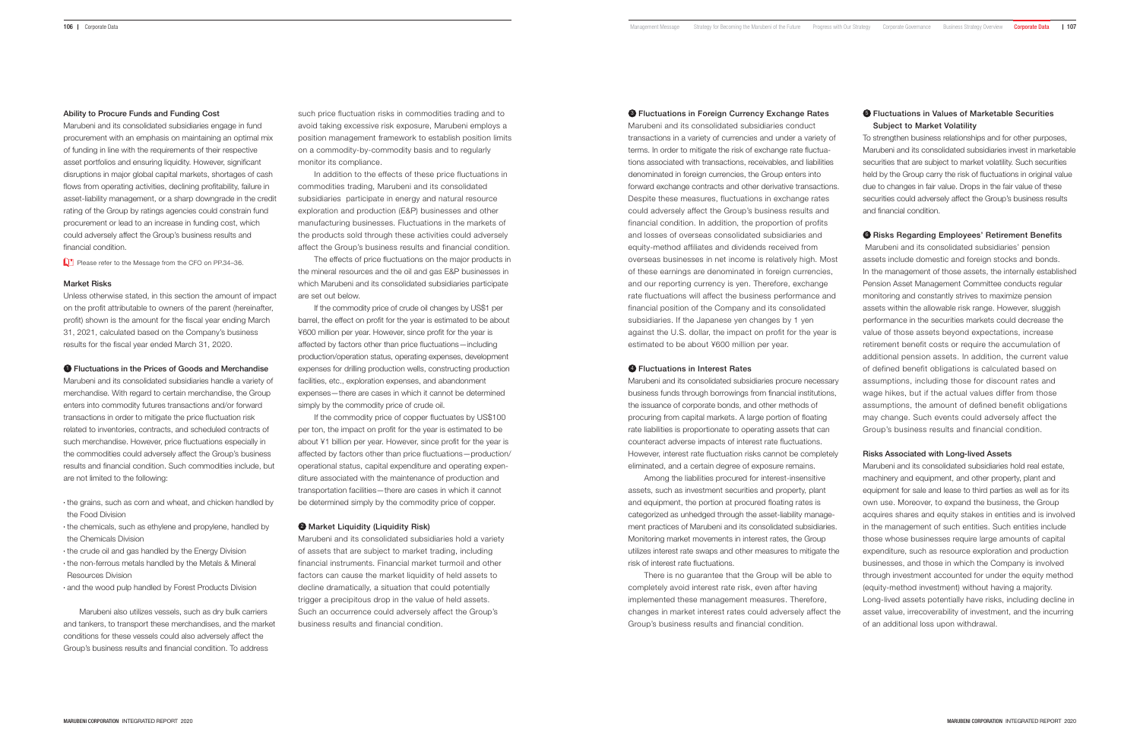## Ability to Procure Funds and Funding Cost

Marubeni and its consolidated subsidiaries engage in fund procurement with an emphasis on maintaining an optimal mix of funding in line with the requirements of their respective asset portfolios and ensuring liquidity. However, significant disruptions in major global capital markets, shortages of cash flows from operating activities, declining profitability, failure in asset-liability management, or a sharp downgrade in the credit rating of the Group by ratings agencies could constrain fund procurement or lead to an increase in funding cost, which could adversely affect the Group's business results and financial condition.

Please refer to the Message from the CFO on PP.34-36.

## Market Risks

Unless otherwise stated, in this section the amount of impact on the profit attributable to owners of the parent (hereinafter, profit) shown is the amount for the fiscal year ending March 31, 2021, calculated based on the Company's business results for the fiscal year ended March 31, 2020.

**1** Fluctuations in the Prices of Goods and Merchandise

Marubeni and its consolidated subsidiaries handle a variety of merchandise. With regard to certain merchandise, the Group enters into commodity futures transactions and/or forward transactions in order to mitigate the price fluctuation risk related to inventories, contracts, and scheduled contracts of such merchandise. However, price fluctuations especially in the commodities could adversely affect the Group's business results and financial condition. Such commodities include, but are not limited to the following:

- the grains, such as corn and wheat, and chicken handled by the Food Division
- the chemicals, such as ethylene and propylene, handled by the Chemicals Division
- the crude oil and gas handled by the Energy Division
- the non-ferrous metals handled by the Metals & Mineral Resources Division
- and the wood pulp handled by Forest Products Division

If the commodity price of copper fluctuates by US\$100 per ton, the impact on profit for the year is estimated to be about ¥1 billion per year. However, since profit for the year is affected by factors other than price fluctuations—production/ operational status, capital expenditure and operating expenditure associated with the maintenance of production and transportation facilities—there are cases in which it cannot be determined simply by the commodity price of copper.

### **2** Market Liquidity (Liquidity Risk)

Marubeni also utilizes vessels, such as dry bulk carriers and tankers, to transport these merchandises, and the market conditions for these vessels could also adversely affect the Group's business results and financial condition. To address

such price fluctuation risks in commodities trading and to avoid taking excessive risk exposure, Marubeni employs a position management framework to establish position limits on a commodity-by-commodity basis and to regularly monitor its compliance.

In addition to the effects of these price fluctuations in commodities trading, Marubeni and its consolidated subsidiaries participate in energy and natural resource exploration and production (E&P) businesses and other manufacturing businesses. Fluctuations in the markets of the products sold through these activities could adversely affect the Group's business results and financial condition. **<sup>3</sup>** Fluctuations in Foreign Currency Exchange Rates Marubeni and its consolidated subsidiaries conduct transactions in a variety of currencies and under a variety of terms. In order to mitigate the risk of exchange rate fluctuations associated with transactions, receivables, and liabilities denominated in foreign currencies, the Group enters into forward exchange contracts and other derivative transactions. Despite these measures, fluctuations in exchange rates could adversely affect the Group's business results and financial condition. In addition, the proportion of profits and losses of overseas consolidated subsidiaries and equity-method affiliates and dividends received from overseas businesses in net income is relatively high. Most of these earnings are denominated in foreign currencies, and our reporting currency is yen. Therefore, exchange rate fluctuations will affect the business performance and financial position of the Company and its consolidated subsidiaries. If the Japanese yen changes by 1 yen against the U.S. dollar, the impact on profit for the year is estimated to be about ¥600 million per year.

# **4** Fluctuations in Interest Rates

The effects of price fluctuations on the major products in the mineral resources and the oil and gas E&P businesses in which Marubeni and its consolidated subsidiaries participate are set out below.

If the commodity price of crude oil changes by US\$1 per barrel, the effect on profit for the year is estimated to be about ¥600 million per year. However, since profit for the year is affected by factors other than price fluctuations—including production/operation status, operating expenses, development expenses for drilling production wells, constructing production facilities, etc., exploration expenses, and abandonment expenses—there are cases in which it cannot be determined simply by the commodity price of crude oil.

# **6** Fluctuations in Values of Marketable Securities Subject to Market Volatility

Marubeni and its consolidated subsidiaries hold a variety of assets that are subject to market trading, including financial instruments. Financial market turmoil and other factors can cause the market liquidity of held assets to decline dramatically, a situation that could potentially trigger a precipitous drop in the value of held assets. Such an occurrence could adversely affect the Group's business results and financial condition.

Marubeni and its consolidated subsidiaries procure necessary business funds through borrowings from financial institutions, the issuance of corporate bonds, and other methods of procuring from capital markets. A large portion of floating rate liabilities is proportionate to operating assets that can counteract adverse impacts of interest rate fluctuations. However, interest rate fluctuation risks cannot be completely eliminated, and a certain degree of exposure remains.

Among the liabilities procured for interest-insensitive assets, such as investment securities and property, plant and equipment, the portion at procured floating rates is categorized as unhedged through the asset-liability management practices of Marubeni and its consolidated subsidiaries. Monitoring market movements in interest rates, the Group utilizes interest rate swaps and other measures to mitigate the risk of interest rate fluctuations.

There is no guarantee that the Group will be able to completely avoid interest rate risk, even after having implemented these management measures. Therefore, changes in market interest rates could adversely affect the Group's business results and financial condition.

To strengthen business relationships and for other purposes, Marubeni and its consolidated subsidiaries invest in marketable securities that are subject to market volatility. Such securities held by the Group carry the risk of fluctuations in original value due to changes in fair value. Drops in the fair value of these securities could adversely affect the Group's business results and financial condition.

# **6** Risks Regarding Employees' Retirement Benefits

 Marubeni and its consolidated subsidiaries' pension assets include domestic and foreign stocks and bonds. In the management of those assets, the internally established Pension Asset Management Committee conducts regular monitoring and constantly strives to maximize pension assets within the allowable risk range. However, sluggish performance in the securities markets could decrease the value of those assets beyond expectations, increase retirement benefit costs or require the accumulation of additional pension assets. In addition, the current value of defined benefit obligations is calculated based on assumptions, including those for discount rates and wage hikes, but if the actual values differ from those assumptions, the amount of defined benefit obligations may change. Such events could adversely affect the Group's business results and financial condition.

## Risks Associated with Long-lived Assets

Marubeni and its consolidated subsidiaries hold real estate, machinery and equipment, and other property, plant and equipment for sale and lease to third parties as well as for its own use. Moreover, to expand the business, the Group acquires shares and equity stakes in entities and is involved in the management of such entities. Such entities include those whose businesses require large amounts of capital expenditure, such as resource exploration and production businesses, and those in which the Company is involved through investment accounted for under the equity method (equity-method investment) without having a majority. Long-lived assets potentially have risks, including decline in asset value, irrecoverability of investment, and the incurring of an additional loss upon withdrawal.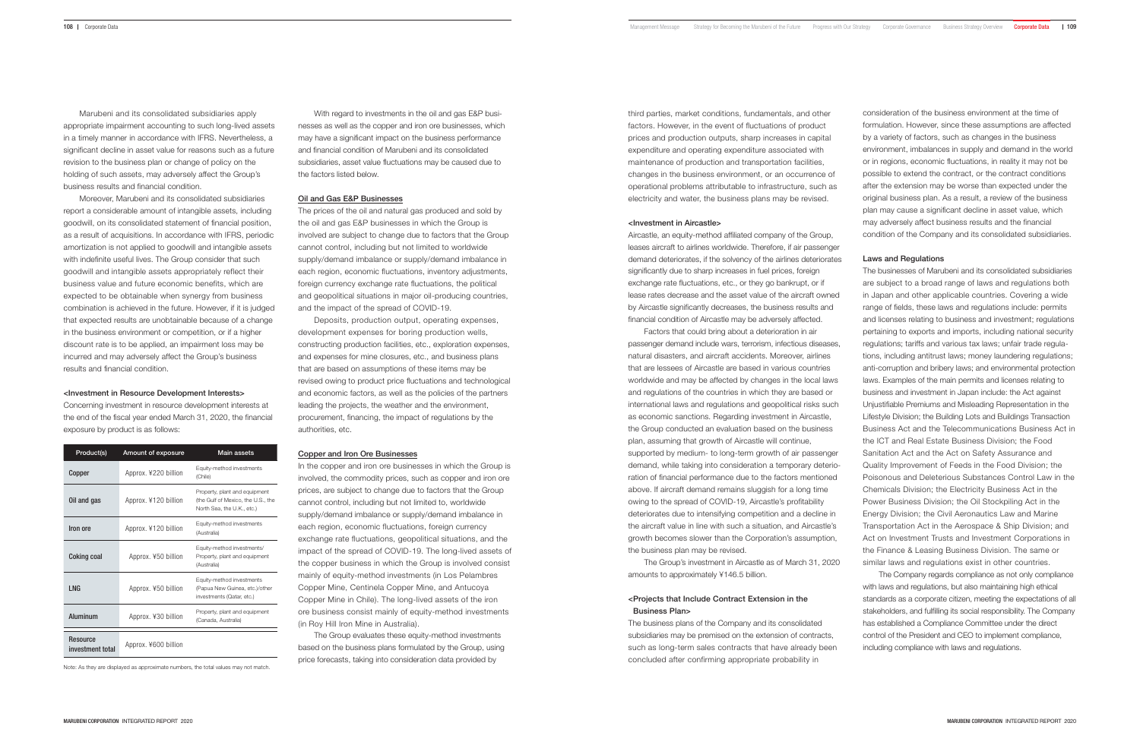Marubeni and its consolidated subsidiaries apply appropriate impairment accounting to such long-lived assets in a timely manner in accordance with IFRS. Nevertheless, a significant decline in asset value for reasons such as a future revision to the business plan or change of policy on the holding of such assets, may adversely affect the Group's business results and financial condition.

Moreover, Marubeni and its consolidated subsidiaries report a considerable amount of intangible assets, including goodwill, on its consolidated statement of financial position, as a result of acquisitions. In accordance with IFRS, periodic amortization is not applied to goodwill and intangible assets with indefinite useful lives. The Group consider that such goodwill and intangible assets appropriately reflect their business value and future economic benefits, which are expected to be obtainable when synergy from business combination is achieved in the future. However, if it is judged that expected results are unobtainable because of a change in the business environment or competition, or if a higher discount rate is to be applied, an impairment loss may be incurred and may adversely affect the Group's business results and financial condition.

#### <Investment in Resource Development Interests>

Concerning investment in resource development interests at the end of the fiscal year ended March 31, 2020, the financial exposure by product is as follows:

| Product(s)                   | Amount of exposure   | <b>Main assets</b>                                                                                |
|------------------------------|----------------------|---------------------------------------------------------------------------------------------------|
| Copper                       | Approx. ¥220 billion | Equity-method investments<br>(Chile)                                                              |
| Oil and gas                  | Approx. ¥120 billion | Property, plant and equipment<br>(the Gulf of Mexico, the U.S., the<br>North Sea. the U.K., etc.) |
| Iron ore                     | Approx. ¥120 billion | Equity-method investments<br>(Australia)                                                          |
| Coking coal                  | Approx. ¥50 billion  | Equity-method investments/<br>Property, plant and equipment<br>(Australia)                        |
| I NG                         | Approx. ¥50 billion  | Equity-method investments<br>(Papua New Guinea, etc.)/other<br>investments (Qatar, etc.)          |
| Aluminum                     | Approx. ¥30 billion  | Property, plant and equipment<br>(Canada, Australia)                                              |
| Resource<br>investment total | Approx. ¥600 billion |                                                                                                   |

Note: As they are displayed as approximate numbers, the total values may not match.

In the copper and iron ore businesses in which the Group is involved, the commodity prices, such as copper and iron ore prices, are subject to change due to factors that the Group cannot control, including but not limited to, worldwide supply/demand imbalance or supply/demand imbalance in each region, economic fluctuations, foreign currency exchange rate fluctuations, geopolitical situations, and the impact of the spread of COVID-19. The long-lived assets of the copper business in which the Group is involved consist mainly of equity-method investments (in Los Pelambres Copper Mine, Centinela Copper Mine, and Antucoya Copper Mine in Chile). The long-lived assets of the iron ore business consist mainly of equity-method investments (in Roy Hill Iron Mine in Australia).

With regard to investments in the oil and gas E&P businesses as well as the copper and iron ore businesses, which may have a significant impact on the business performance and financial condition of Marubeni and its consolidated subsidiaries, asset value fluctuations may be caused due to the factors listed below.

# Oil and Gas E&P Businesses

The prices of the oil and natural gas produced and sold by the oil and gas E&P businesses in which the Group is involved are subject to change due to factors that the Group cannot control, including but not limited to worldwide supply/demand imbalance or supply/demand imbalance in each region, economic fluctuations, inventory adjustments, foreign currency exchange rate fluctuations, the political and geopolitical situations in major oil-producing countries, and the impact of the spread of COVID-19.

Deposits, production output, operating expenses, development expenses for boring production wells, constructing production facilities, etc., exploration expenses, and expenses for mine closures, etc., and business plans that are based on assumptions of these items may be revised owing to product price fluctuations and technological and economic factors, as well as the policies of the partners leading the projects, the weather and the environment, procurement, financing, the impact of regulations by the authorities, etc.

# Copper and Iron Ore Businesses

The Group evaluates these equity-method investments based on the business plans formulated by the Group, using price forecasts, taking into consideration data provided by

third parties, market conditions, fundamentals, and other factors. However, in the event of fluctuations of product prices and production outputs, sharp increases in capital expenditure and operating expenditure associated with maintenance of production and transportation facilities, changes in the business environment, or an occurrence of operational problems attributable to infrastructure, such as electricity and water, the business plans may be revised.

#### <Investment in Aircastle>

Aircastle, an equity-method affiliated company of the Group, leases aircraft to airlines worldwide. Therefore, if air passenger demand deteriorates, if the solvency of the airlines deteriorates significantly due to sharp increases in fuel prices, foreign exchange rate fluctuations, etc., or they go bankrupt, or if lease rates decrease and the asset value of the aircraft owned by Aircastle significantly decreases, the business results and financial condition of Aircastle may be adversely affected.

Factors that could bring about a deterioration in air passenger demand include wars, terrorism, infectious diseases, natural disasters, and aircraft accidents. Moreover, airlines that are lessees of Aircastle are based in various countries worldwide and may be affected by changes in the local laws and regulations of the countries in which they are based or international laws and regulations and geopolitical risks such as economic sanctions. Regarding investment in Aircastle, the Group conducted an evaluation based on the business plan, assuming that growth of Aircastle will continue, supported by medium- to long-term growth of air passenger demand, while taking into consideration a temporary deterioration of financial performance due to the factors mentioned above. If aircraft demand remains sluggish for a long time owing to the spread of COVID-19, Aircastle's profitability deteriorates due to intensifying competition and a decline in the aircraft value in line with such a situation, and Aircastle's growth becomes slower than the Corporation's assumption, the business plan may be revised.

The Group's investment in Aircastle as of March 31, 2020 amounts to approximately ¥146.5 billion.

# <Projects that Include Contract Extension in the Business Plan>

The business plans of the Company and its consolidated subsidiaries may be premised on the extension of contracts, such as long-term sales contracts that have already been concluded after confirming appropriate probability in

consideration of the business environment at the time of formulation. However, since these assumptions are affected by a variety of factors, such as changes in the business environment, imbalances in supply and demand in the world or in regions, economic fluctuations, in reality it may not be possible to extend the contract, or the contract conditions after the extension may be worse than expected under the original business plan. As a result, a review of the business plan may cause a significant decline in asset value, which may adversely affect business results and the financial condition of the Company and its consolidated subsidiaries.

#### Laws and Regulations

The businesses of Marubeni and its consolidated subsidiaries are subject to a broad range of laws and regulations both in Japan and other applicable countries. Covering a wide range of fields, these laws and regulations include: permits and licenses relating to business and investment; regulations pertaining to exports and imports, including national security regulations; tariffs and various tax laws; unfair trade regulations, including antitrust laws; money laundering regulations; anti-corruption and bribery laws; and environmental protection laws. Examples of the main permits and licenses relating to business and investment in Japan include: the Act against Unjustifiable Premiums and Misleading Representation in the Lifestyle Division; the Building Lots and Buildings Transaction Business Act and the Telecommunications Business Act in the ICT and Real Estate Business Division; the Food Sanitation Act and the Act on Safety Assurance and Quality Improvement of Feeds in the Food Division; the Poisonous and Deleterious Substances Control Law in the Chemicals Division; the Electricity Business Act in the Power Business Division; the Oil Stockpiling Act in the Energy Division; the Civil Aeronautics Law and Marine Transportation Act in the Aerospace & Ship Division; and Act on Investment Trusts and Investment Corporations in the Finance & Leasing Business Division. The same or similar laws and regulations exist in other countries.

The Company regards compliance as not only compliance with laws and regulations, but also maintaining high ethical standards as a corporate citizen, meeting the expectations of all stakeholders, and fulfilling its social responsibility. The Company has established a Compliance Committee under the direct control of the President and CEO to implement compliance, including compliance with laws and regulations.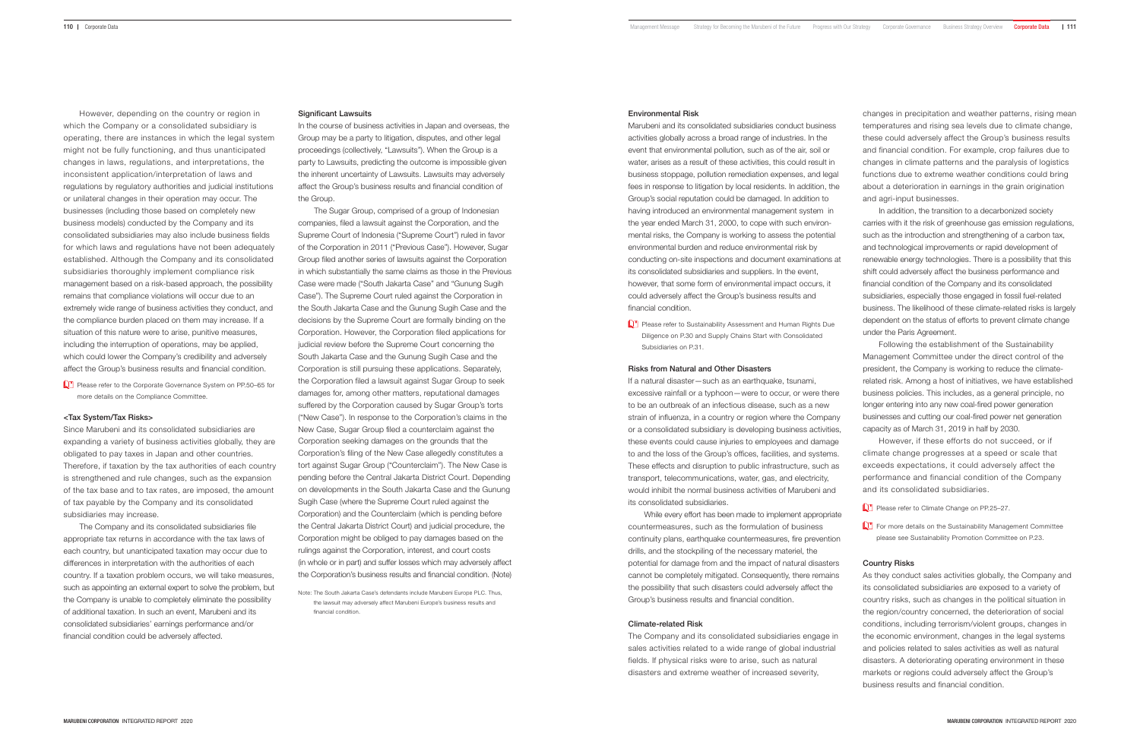However, depending on the country or region in which the Company or a consolidated subsidiary is operating, there are instances in which the legal system might not be fully functioning, and thus unanticipated changes in laws, regulations, and interpretations, the inconsistent application/interpretation of laws and regulations by regulatory authorities and judicial institutions or unilateral changes in their operation may occur. The businesses (including those based on completely new business models) conducted by the Company and its consolidated subsidiaries may also include business fields for which laws and regulations have not been adequately established. Although the Company and its consolidated subsidiaries thoroughly implement compliance risk management based on a risk-based approach, the possibility remains that compliance violations will occur due to an extremely wide range of business activities they conduct, and the compliance burden placed on them may increase. If a situation of this nature were to arise, punitive measures, including the interruption of operations, may be applied, which could lower the Company's credibility and adversely affect the Group's business results and financial condition.

Please refer to the Corporate Governance System on PP.50-65 for more details on the Compliance Committee.

#### <Tax System/Tax Risks>

In the course of business activities in Japan and overseas, the Group may be a party to litigation, disputes, and other legal proceedings (collectively, "Lawsuits"). When the Group is a party to Lawsuits, predicting the outcome is impossible given the inherent uncertainty of Lawsuits. Lawsuits may adversely affect the Group's business results and financial condition of the Group.

Since Marubeni and its consolidated subsidiaries are expanding a variety of business activities globally, they are obligated to pay taxes in Japan and other countries. Therefore, if taxation by the tax authorities of each country is strengthened and rule changes, such as the expansion of the tax base and to tax rates, are imposed, the amount of tax payable by the Company and its consolidated subsidiaries may increase.

The Company and its consolidated subsidiaries file appropriate tax returns in accordance with the tax laws of each country, but unanticipated taxation may occur due to differences in interpretation with the authorities of each country. If a taxation problem occurs, we will take measures, such as appointing an external expert to solve the problem, but the Company is unable to completely eliminate the possibility of additional taxation. In such an event, Marubeni and its consolidated subsidiaries' earnings performance and/or financial condition could be adversely affected.

#### Significant Lawsuits

**C<sup>+</sup>** Please refer to Sustainability Assessment and Human Rights Due Diligence on P.30 and Supply Chains Start with Consolidated Subsidiaries on P.31.

If a natural disaster—such as an earthquake, tsunami, excessive rainfall or a typhoon—were to occur, or were there to be an outbreak of an infectious disease, such as a new strain of influenza, in a country or region where the Company or a consolidated subsidiary is developing business activities, these events could cause injuries to employees and damage to and the loss of the Group's offices, facilities, and systems. These effects and disruption to public infrastructure, such as transport, telecommunications, water, gas, and electricity, would inhibit the normal business activities of Marubeni and its consolidated subsidiaries.

The Sugar Group, comprised of a group of Indonesian companies, filed a lawsuit against the Corporation, and the Supreme Court of Indonesia ("Supreme Court") ruled in favor of the Corporation in 2011 ("Previous Case"). However, Sugar Group filed another series of lawsuits against the Corporation in which substantially the same claims as those in the Previous Case were made ("South Jakarta Case" and "Gunung Sugih Case"). The Supreme Court ruled against the Corporation in the South Jakarta Case and the Gunung Sugih Case and the decisions by the Supreme Court are formally binding on the Corporation. However, the Corporation filed applications for judicial review before the Supreme Court concerning the South Jakarta Case and the Gunung Sugih Case and the Corporation is still pursuing these applications. Separately, the Corporation filed a lawsuit against Sugar Group to seek damages for, among other matters, reputational damages suffered by the Corporation caused by Sugar Group's torts ("New Case"). In response to the Corporation's claims in the New Case, Sugar Group filed a counterclaim against the Corporation seeking damages on the grounds that the Corporation's filing of the New Case allegedly constitutes a tort against Sugar Group ("Counterclaim"). The New Case is pending before the Central Jakarta District Court. Depending on developments in the South Jakarta Case and the Gunung Sugih Case (where the Supreme Court ruled against the Corporation) and the Counterclaim (which is pending before the Central Jakarta District Court) and judicial procedure, the Corporation might be obliged to pay damages based on the rulings against the Corporation, interest, and court costs (in whole or in part) and suffer losses which may adversely affect the Corporation's business results and financial condition. (Note)

- Please refer to Climate Change on PP.25-27.
- For more details on the Sustainability Management Committee please see Sustainability Promotion Committee on P.23.

#### Environmental Risk

Marubeni and its consolidated subsidiaries conduct business activities globally across a broad range of industries. In the event that environmental pollution, such as of the air, soil or water, arises as a result of these activities, this could result in business stoppage, pollution remediation expenses, and legal fees in response to litigation by local residents. In addition, the Group's social reputation could be damaged. In addition to having introduced an environmental management system in the year ended March 31, 2000, to cope with such environmental risks, the Company is working to assess the potential environmental burden and reduce environmental risk by conducting on-site inspections and document examinations at its consolidated subsidiaries and suppliers. In the event, however, that some form of environmental impact occurs, it could adversely affect the Group's business results and financial condition.

# Risks from Natural and Other Disasters

While every effort has been made to implement appropriate countermeasures, such as the formulation of business continuity plans, earthquake countermeasures, fire prevention drills, and the stockpiling of the necessary materiel, the potential for damage from and the impact of natural disasters cannot be completely mitigated. Consequently, there remains the possibility that such disasters could adversely affect the Group's business results and financial condition.

## Climate-related Risk

The Company and its consolidated subsidiaries engage in sales activities related to a wide range of global industrial fields. If physical risks were to arise, such as natural disasters and extreme weather of increased severity,

changes in precipitation and weather patterns, rising mean temperatures and rising sea levels due to climate change, these could adversely affect the Group's business results and financial condition. For example, crop failures due to changes in climate patterns and the paralysis of logistics functions due to extreme weather conditions could bring about a deterioration in earnings in the grain origination and agri-input businesses.

In addition, the transition to a decarbonized society carries with it the risk of greenhouse gas emission regulations, such as the introduction and strengthening of a carbon tax, and technological improvements or rapid development of renewable energy technologies. There is a possibility that this shift could adversely affect the business performance and financial condition of the Company and its consolidated subsidiaries, especially those engaged in fossil fuel-related business. The likelihood of these climate-related risks is largely dependent on the status of efforts to prevent climate change under the Paris Agreement.

Following the establishment of the Sustainability Management Committee under the direct control of the president, the Company is working to reduce the climaterelated risk. Among a host of initiatives, we have established business policies. This includes, as a general principle, no longer entering into any new coal-fired power generation businesses and cutting our coal-fired power net generation capacity as of March 31, 2019 in half by 2030.

However, if these efforts do not succeed, or if climate change progresses at a speed or scale that exceeds expectations, it could adversely affect the performance and financial condition of the Company and its consolidated subsidiaries.

#### Country Risks

As they conduct sales activities globally, the Company and its consolidated subsidiaries are exposed to a variety of country risks, such as changes in the political situation in the region/country concerned, the deterioration of social conditions, including terrorism/violent groups, changes in the economic environment, changes in the legal systems and policies related to sales activities as well as natural disasters. A deteriorating operating environment in these markets or regions could adversely affect the Group's business results and financial condition.

Note: The South Jakarta Case's defendants include Marubeni Europe PLC. Thus, the lawsuit may adversely affect Marubeni Europe's business results and financial condition.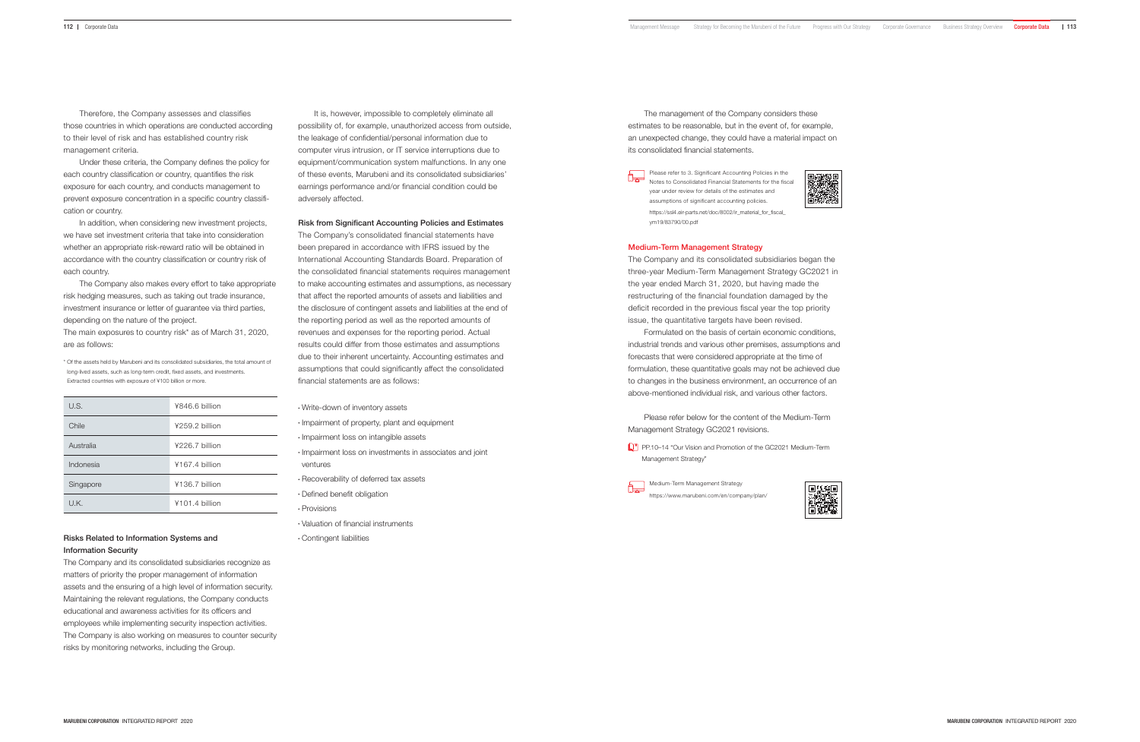Therefore, the Company assesses and classifies those countries in which operations are conducted according to their level of risk and has established country risk management criteria.

Under these criteria, the Company defines the policy for each country classification or country, quantifies the risk exposure for each country, and conducts management to prevent exposure concentration in a specific country classification or country.

In addition, when considering new investment projects, we have set investment criteria that take into consideration whether an appropriate risk-reward ratio will be obtained in accordance with the country classification or country risk of each country.

The Company also makes every effort to take appropriate risk hedging measures, such as taking out trade insurance, investment insurance or letter of guarantee via third parties, depending on the nature of the project.

The main exposures to country risk\* as of March 31, 2020, are as follows:

\* Of the assets held by Marubeni and its consolidated subsidiaries, the total amount of long-lived assets, such as long-term credit, fixed assets, and investments. Extracted countries with exposure of ¥100 billion or more.

It is, however, impossible to completely eliminate all possibility of, for example, unauthorized access from outside, the leakage of confidential/personal information due to computer virus intrusion, or IT service interruptions due to equipment/communication system malfunctions. In any one of these events, Marubeni and its consolidated subsidiaries' earnings performance and/or financial condition could be adversely affected.

| U.S.      | ¥846.6 billion   |
|-----------|------------------|
| Chile     | ¥259.2 billion   |
| Australia | ¥226.7 billion   |
| Indonesia | ¥167.4 billion   |
| Singapore | ¥136.7 billion   |
| U.K.      | $4101.4$ hillion |

# Risks Related to Information Systems and Information Security

The Company and its consolidated subsidiaries recognize as matters of priority the proper management of information assets and the ensuring of a high level of information security. Maintaining the relevant regulations, the Company conducts educational and awareness activities for its officers and employees while implementing security inspection activities. The Company is also working on measures to counter security risks by monitoring networks, including the Group.

# Risk from Significant Accounting Policies and Estimates

**PP.10–14 "Our Vision and Promotion of the GC2021 Medium-Term** Management Strategy"

The Company's consolidated financial statements have been prepared in accordance with IFRS issued by the International Accounting Standards Board. Preparation of the consolidated financial statements requires management to make accounting estimates and assumptions, as necessary that affect the reported amounts of assets and liabilities and the disclosure of contingent assets and liabilities at the end of the reporting period as well as the reported amounts of revenues and expenses for the reporting period. Actual results could differ from those estimates and assumptions due to their inherent uncertainty. Accounting estimates and assumptions that could significantly affect the consolidated financial statements are as follows:

Write-down of inventory assets

- Impairment of property, plant and equipment
- · Impairment loss on intangible assets
- Impairment loss on investments in associates and joint ventures
- Recoverability of deferred tax assets
- Defined benefit obligation
- Provisions
- Valuation of financial instruments
- Contingent liabilities

The management of the Company considers these estimates to be reasonable, but in the event of, for example, an unexpected change, they could have a material impact on its consolidated financial statements.



Notes to Consolidated Financial Statements for the fiscal year under review for details of the estimates and assumptions of significant accounting policies. https://ssl4.eir-parts.net/doc/8002/ir\_material\_for\_fiscal\_ ym19/83790/00.pdf

## Medium-Term Management Strategy

The Company and its consolidated subsidiaries began the three-year Medium-Term Management Strategy GC2021 in the year ended March 31, 2020, but having made the restructuring of the financial foundation damaged by the deficit recorded in the previous fiscal year the top priority issue, the quantitative targets have been revised.

Formulated on the basis of certain economic conditions, industrial trends and various other premises, assumptions and forecasts that were considered appropriate at the time of formulation, these quantitative goals may not be achieved due to changes in the business environment, an occurrence of an above-mentioned individual risk, and various other factors.

Please refer below for the content of the Medium-Term Management Strategy GC2021 revisions.

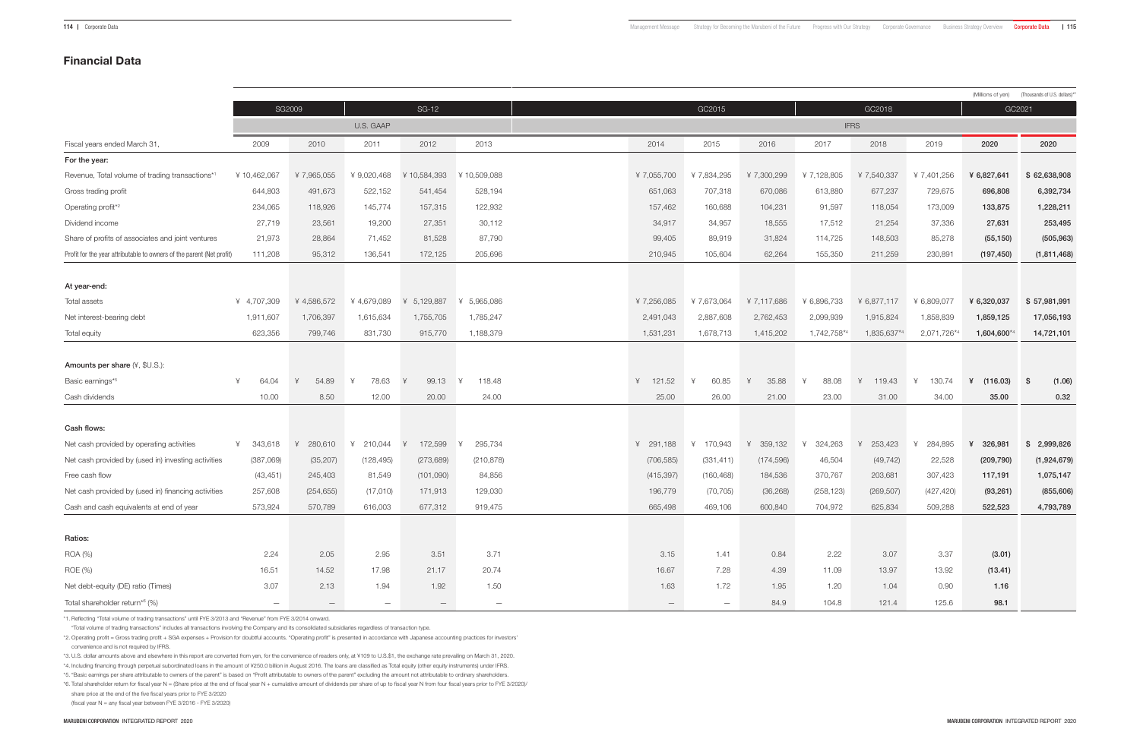|                                                                       |                          |                          |                   |                          |                          |                          |                          |            |               |             |             |               | (Millions of yen) (Thousands of U.S. dollars)*3 |
|-----------------------------------------------------------------------|--------------------------|--------------------------|-------------------|--------------------------|--------------------------|--------------------------|--------------------------|------------|---------------|-------------|-------------|---------------|-------------------------------------------------|
|                                                                       |                          | SG2009                   |                   | <b>SG-12</b>             |                          |                          | GC2015                   |            |               | GC2018      |             | GC2021        |                                                 |
|                                                                       |                          |                          | U.S. GAAP         |                          |                          |                          |                          |            |               | <b>IFRS</b> |             |               |                                                 |
| Fiscal years ended March 31,                                          | 2009                     | 2010                     | 2011              | 2012                     | 2013                     | 2014                     | 2015                     | 2016       | 2017          | 2018        | 2019        | 2020          | 2020                                            |
| For the year:                                                         |                          |                          |                   |                          |                          |                          |                          |            |               |             |             |               |                                                 |
| Revenue, Total volume of trading transactions*1                       | ¥10,462,067              | ¥7,965,055               | ¥ 9,020,468       | 10,584,393               | ¥10,509,088              | ¥7,055,700               | ¥7,834,295               | ¥7,300,299 | ¥7,128,805    | ¥ 7,540,337 | ¥7,401,256  | ¥ 6,827,641   | \$62,638,908                                    |
| Gross trading profit                                                  | 644,803                  | 491,673                  | 522,152           | 541,454                  | 528,194                  | 651,063                  | 707,318                  | 670,086    | 613,880       | 677,237     | 729,675     | 696,808       | 6,392,734                                       |
| Operating profit*2                                                    | 234,065                  | 118,926                  | 145,774           | 157,315                  | 122,932                  | 157,462                  | 160,688                  | 104,231    | 91,597        | 118,054     | 173,009     | 133,875       | 1,228,211                                       |
| Dividend income                                                       | 27,719                   | 23,561                   | 19,200            | 27,351                   | 30,112                   | 34,917                   | 34,957                   | 18,555     | 17,512        | 21,254      | 37,336      | 27,631        | 253,495                                         |
| Share of profits of associates and joint ventures                     | 21,973                   | 28,864                   | 71,452            | 81,528                   | 87,790                   | 99,405                   | 89,919                   | 31,824     | 114,725       | 148,503     | 85,278      | (55, 150)     | (505, 963)                                      |
| Profit for the year attributable to owners of the parent (Net profit) | 111,208                  | 95,312                   | 136,541           | 172,125                  | 205,696                  | 210,945                  | 105,604                  | 62,264     | 155,350       | 211,259     | 230,891     | (197, 450)    | (1,811,468)                                     |
|                                                                       |                          |                          |                   |                          |                          |                          |                          |            |               |             |             |               |                                                 |
| At year-end:                                                          |                          |                          |                   |                          |                          |                          |                          |            |               |             |             |               |                                                 |
| Total assets                                                          | ¥ 4,707,309              | ¥4,586,572               | ¥4,679,089        | 5,129,887                | 5,965,086                | ¥7,256,085               | ¥7,673,064               | ¥7,117,686 | ¥ 6,896,733   | ¥ 6,877,117 | ¥ 6,809,077 | ¥ 6,320,037   | \$57,981,991                                    |
| Net interest-bearing debt                                             | 1,911,607                | 1,706,397                | 1,615,634         | 1,755,705                | 1,785,247                | 2,491,043                | 2,887,608                | 2,762,453  | 2,099,939     | 1,915,824   | 1,858,839   | 1,859,125     | 17,056,193                                      |
| Total equity                                                          | 623,356                  | 799,746                  | 831,730           | 915,770                  | 1,188,379                | 1,531,231                | 1,678,713                | 1,415,202  | $1,742,758$ * | 1,835,637*  | 2,071,726*  | $1,604,600$ * | 14,721,101                                      |
|                                                                       |                          |                          |                   |                          |                          |                          |                          |            |               |             |             |               |                                                 |
| Amounts per share (¥, \$U.S.):                                        |                          |                          |                   |                          |                          |                          |                          |            |               |             |             |               |                                                 |
| Basic earnings*5                                                      | 64.04                    | 54.89<br>$\overline{X}$  | 78.63<br>$\vee$   | 99.13                    | 118.48                   | 121.52                   | 60.85                    | 35.88      | 88.08         | 119.43      | 130.74      | (116.03)      | - \$<br>(1.06)                                  |
| Cash dividends                                                        | 10.00                    | 8.50                     | 12.00             | 20.00                    | 24.00                    | 25.00                    | 26.00                    | 21.00      | 23.00         | 31.00       | 34.00       | 35.00         | 0.32                                            |
|                                                                       |                          |                          |                   |                          |                          |                          |                          |            |               |             |             |               |                                                 |
| Cash flows:                                                           |                          |                          |                   |                          |                          |                          |                          |            |               |             |             |               |                                                 |
| Net cash provided by operating activities                             | 343,618                  | 280,610                  | 210,044<br>⊻      | 172,599                  | 295,734                  | 291,188                  | 170,943                  | 359,132    | 324,263       | 253,423     | 284,895     | 326,981<br>¥  | \$<br>2,999,826                                 |
| Net cash provided by (used in) investing activities                   | (387,069)                | (35, 207)                | (128, 495)        | (273, 689)               | (210, 878)               | (706, 585)               | (331, 411)               | (174, 596) | 46,504        | (49, 742)   | 22,528      | (209, 790)    | (1,924,679)                                     |
| Free cash flow                                                        | (43, 451)                | 245,403                  | 81,549            | (101,090)                | 84,856                   | (415, 397)               | (160, 468)               | 184,536    | 370,767       | 203,681     | 307,423     | 117,191       | 1,075,147                                       |
| Net cash provided by (used in) financing activities                   | 257,608                  | (254, 655)               | (17,010)          | 171,913                  | 129,030                  | 196,779                  | (70, 705)                | (36, 268)  | (258, 123)    | (269, 507)  | (427, 420)  | (93, 261)     | (855, 606)                                      |
| Cash and cash equivalents at end of year                              | 573,924                  | 570,789                  | 616,003           | 677,312                  | 919,475                  | 665,498                  | 469,106                  | 600,840    | 704,972       | 625,834     | 509,288     | 522,523       | 4,793,789                                       |
|                                                                       |                          |                          |                   |                          |                          |                          |                          |            |               |             |             |               |                                                 |
| Ratios:                                                               |                          |                          |                   |                          |                          |                          |                          |            |               |             |             |               |                                                 |
| ROA (%)                                                               | 2.24                     | 2.05                     | 2.95              | 3.51                     | 3.71                     | 3.15                     | 1.41                     | 0.84       | 2.22          | 3.07        | 3.37        | (3.01)        |                                                 |
| ROE (%)                                                               | 16.51                    | 14.52                    | 17.98             | 21.17                    | 20.74                    | 16.67                    | 7.28                     | 4.39       | 11.09         | 13.97       | 13.92       | (13.41)       |                                                 |
| Net debt-equity (DE) ratio (Times)                                    | 3.07                     | 2.13                     | 1.94              | 1.92                     | 1.50                     | 1.63                     | 1.72                     | 1.95       | 1.20          | 1.04        | 0.90        | 1.16          |                                                 |
| Total shareholder return*6 (%)                                        | $\overline{\phantom{m}}$ | $\overline{\phantom{m}}$ | $\qquad \qquad -$ | $\overline{\phantom{m}}$ | $\overline{\phantom{m}}$ | $\overline{\phantom{0}}$ | $\overline{\phantom{m}}$ | 84.9       | 104.8         | 121.4       | 125.6       | 98.1          |                                                 |

\*1. Reflecting "Total volume of trading transactions" until FYE 3/2013 and "Revenue" from FYE 3/2014 onward.

"Total volume of trading transactions" includes all transactions involving the Company and its consolidated subsidiaries regardless of transaction type.

\*2. Operating profit = Gross trading profit + SGA expenses + Provision for doubtful accounts. "Operating profit" is presented in accordance with Japanese accounting practices for investors' convenience and is not required by IFRS.

\*3. U.S. dollar amounts above and elsewhere in this report are converted from yen, for the convenience of readers only, at ¥109 to U.S.\$1, the exchange rate prevailing on March 31, 2020.

\*4. Including financing through perpetual subordinated loans in the amount of ¥250.0 billion in August 2016. The loans are classified as Total equity (other equity instruments) under IFRS.

\*5. "Basic earnings per share attributable to owners of the parent" is based on "Profit attributable to owners of the parent" excluding the amount not attributable to ordinary shareholders.

\*6. Total shareholder return for fiscal year N = (Share price at the end of fiscal year N + cumulative amount of dividends per share of up to fiscal year N from four fiscal years prior to FYE 3/2020)/ share price at the end of the five fiscal years prior to FYE 3/2020

(fiscal year N = any fiscal year between FYE 3/2016 - FYE 3/2020)

# Financial Data

| Corporate Governanc |  |  |
|---------------------|--|--|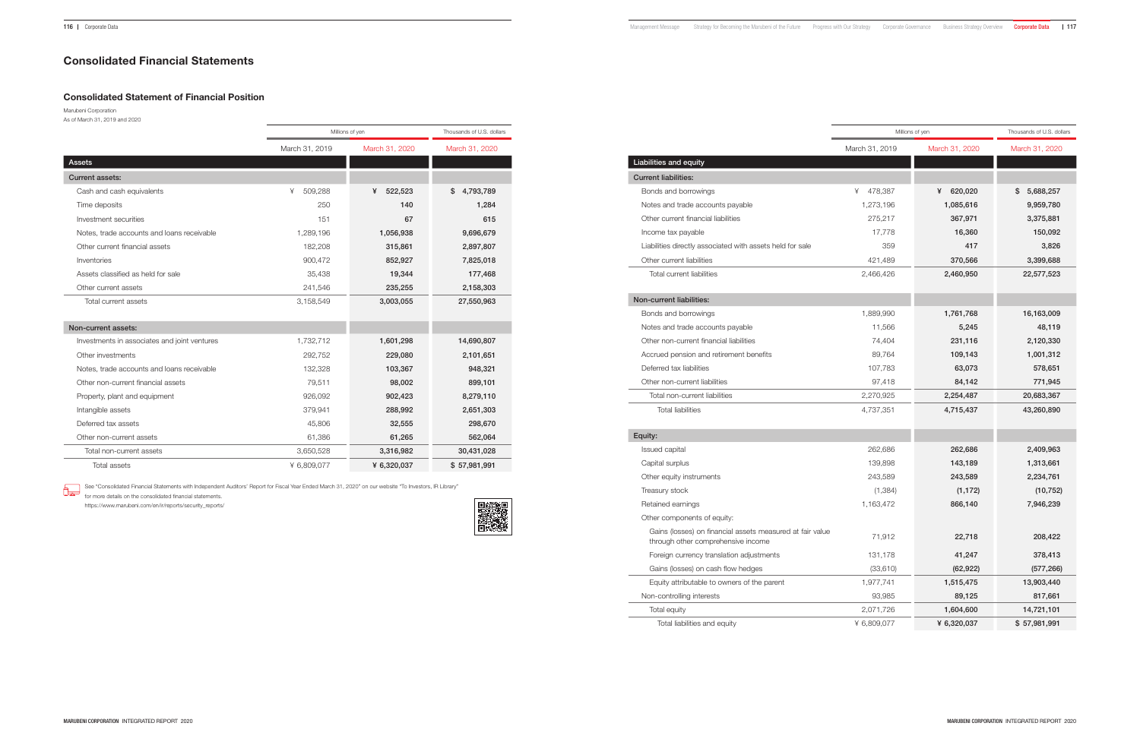# Consolidated Statement of Financial Position

Marubeni Corporation As of March 31, 2019 and 2020

See "Consolidated Financial Statements with Independent Auditors' Report for Fiscal Year Ended March 31, 2020" on our website "To Investors, IR Library" 6₽

|                                              |                | Millions of yen | Thousands of U.S. dollars |
|----------------------------------------------|----------------|-----------------|---------------------------|
|                                              | March 31, 2019 | March 31, 2020  | March 31, 2020            |
| Assets                                       |                |                 |                           |
| <b>Current assets:</b>                       |                |                 |                           |
| Cash and cash equivalents                    | 509,288<br>¥   | 522,523<br>¥    | 4,793,789<br>\$           |
| Time deposits                                | 250            | 140             | 1,284                     |
| Investment securities                        | 151            | 67              | 615                       |
| Notes, trade accounts and loans receivable   | 1,289,196      | 1,056,938       | 9,696,679                 |
| Other current financial assets               | 182,208        | 315,861         | 2,897,807                 |
| Inventories                                  | 900,472        | 852,927         | 7,825,018                 |
| Assets classified as held for sale           | 35,438         | 19,344          | 177,468                   |
| Other current assets                         | 241,546        | 235,255         | 2,158,303                 |
| Total current assets                         | 3,158,549      | 3,003,055       | 27,550,963                |
|                                              |                |                 |                           |
| Non-current assets:                          |                |                 |                           |
| Investments in associates and joint ventures | 1,732,712      | 1,601,298       | 14,690,807                |
| Other investments                            | 292,752        | 229,080         | 2,101,651                 |
| Notes, trade accounts and loans receivable   | 132,328        | 103,367         | 948,321                   |
| Other non-current financial assets           | 79,511         | 98,002          | 899,101                   |
| Property, plant and equipment                | 926,092        | 902,423         | 8,279,110                 |
| Intangible assets                            | 379,941        | 288,992         | 2,651,303                 |
| Deferred tax assets                          | 45,806         | 32,555          | 298,670                   |
| Other non-current assets                     | 61,386         | 61,265          | 562,064                   |
| Total non-current assets                     | 3,650,528      | 3,316,982       | 30,431,028                |
| <b>Total assets</b>                          | ¥ 6.809.077    | ¥ 6.320.037     | \$57,981,991              |

Non-controlling interests

for more details on the consolidated financial statements.

https://www.marubeni.com/en/ir/reports/security\_reports/



| <b>Liabilities and equity</b> |  |  |
|-------------------------------|--|--|
|                               |  |  |

Current liabilities:

Bonds and borrowings Notes and trade accounts payable Other current financial liabilities Income tax payable Liabilities directly associated with assets held for sale Other current liabilities

Total current liabilities

# Non-current liabilities:

Bonds and borrowings Notes and trade accounts payable Other non-current financial liabilities Accrued pension and retirement benefits Deferred tax liabilities Other non-current liabilities

|                                                                                                 |                | Millions of yen | Thousands of U.S. dollars |
|-------------------------------------------------------------------------------------------------|----------------|-----------------|---------------------------|
|                                                                                                 | March 31, 2019 | March 31, 2020  | March 31, 2020            |
| lities and equity                                                                               |                |                 |                           |
| ent liabilities:                                                                                |                |                 |                           |
| inds and borrowings                                                                             | 478,387<br>¥   | 620,020<br>¥    | 5,688,257<br>S            |
| otes and trade accounts payable                                                                 | 1,273,196      | 1,085,616       | 9,959,780                 |
| her current financial liabilities                                                               | 275,217        | 367,971         | 3,375,881                 |
| come tax payable                                                                                | 17,778         | 16,360          | 150,092                   |
| abilities directly associated with assets held for sale                                         | 359            | 417             | 3,826                     |
| her current liabilities                                                                         | 421,489        | 370,566         | 3,399,688                 |
| Total current liabilities                                                                       | 2,466,426      | 2,460,950       | 22,577,523                |
|                                                                                                 |                |                 |                           |
| current liabilities:                                                                            |                |                 |                           |
| inds and borrowings                                                                             | 1,889,990      | 1,761,768       | 16,163,009                |
| otes and trade accounts payable                                                                 | 11,566         | 5,245           | 48,119                    |
| her non-current financial liabilities                                                           | 74,404         | 231,116         | 2,120,330                 |
| crued pension and retirement benefits:                                                          | 89,764         | 109,143         | 1,001,312                 |
| ferred tax liabilities                                                                          | 107,783        | 63,073          | 578,651                   |
| her non-current liabilities                                                                     | 97,418         | 84,142          | 771,945                   |
| Total non-current liabilities                                                                   | 2,270,925      | 2,254,487       | 20,683,367                |
| <b>Total liabilities</b>                                                                        | 4,737,351      | 4,715,437       | 43,260,890                |
|                                                                                                 |                |                 |                           |
| ty:                                                                                             |                |                 |                           |
| ued capital                                                                                     | 262,686        | 262,686         | 2,409,963                 |
| pital surplus                                                                                   | 139,898        | 143,189         | 1,313,661                 |
| her equity instruments                                                                          | 243,589        | 243,589         | 2,234,761                 |
| asury stock                                                                                     | (1, 384)       | (1, 172)        | (10, 752)                 |
| tained earnings                                                                                 | 1,163,472      | 866,140         | 7,946,239                 |
| her components of equity:                                                                       |                |                 |                           |
| Gains (losses) on financial assets measured at fair value<br>through other comprehensive income | 71,912         | 22,718          | 208,422                   |
| Foreign currency translation adjustments                                                        | 131,178        | 41,247          | 378,413                   |
| Gains (losses) on cash flow hedges                                                              | (33,610)       | (62, 922)       | (577, 266)                |
| Equity attributable to owners of the parent                                                     | 1,977,741      | 1,515,475       | 13,903,440                |
| on-controlling interests                                                                        | 93,985         | 89,125          | 817,661                   |
| Total equity                                                                                    | 2,071,726      | 1,604,600       | 14,721,101                |
| Total liabilities and equity                                                                    | ¥ 6,809,077    | ¥ 6,320,037     | \$57,981,991              |

# Equity:

Issued capital Capital surplus

Other equity instruments

Treasury stock

Retained earnings

Other components of equity:

# Consolidated Financial Statements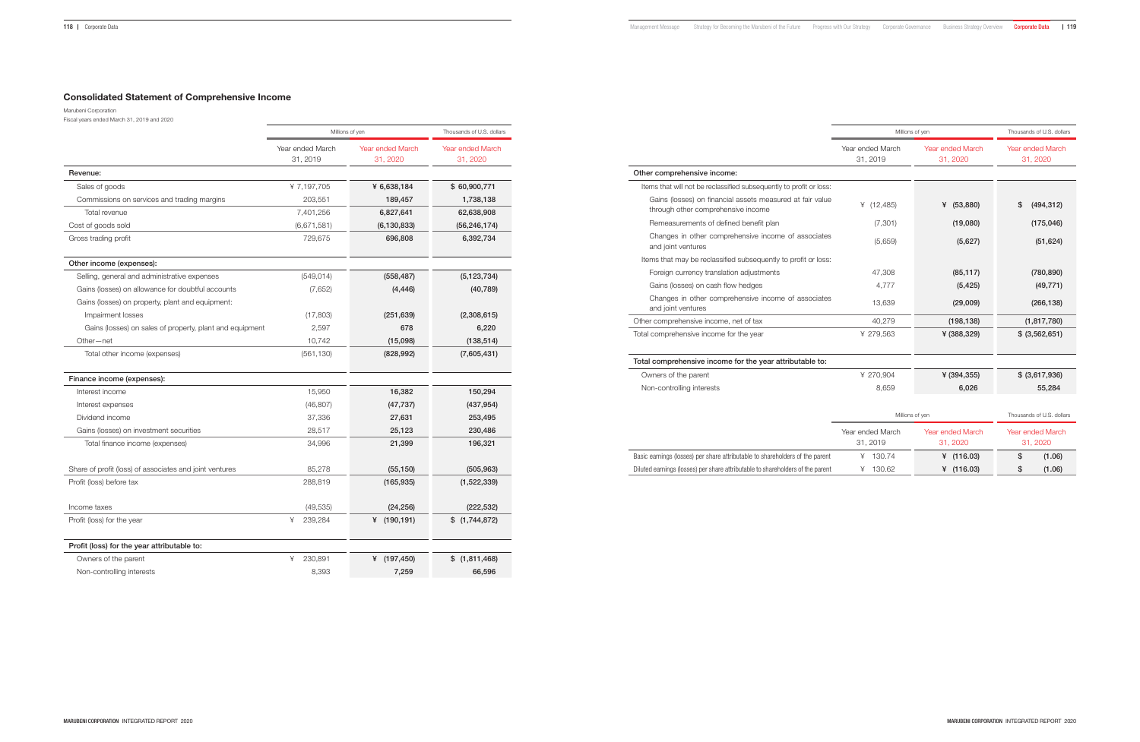# Consolidated Statement of Comprehensive Income

Marubeni Corporation Fiscal years ended March 31, 2019 and 2020

|                                                          | Millions of yen              | Thousands of U.S. dollars    |                                     |
|----------------------------------------------------------|------------------------------|------------------------------|-------------------------------------|
|                                                          | Year ended March<br>31, 2019 | Year ended March<br>31, 2020 | <b>Year ended March</b><br>31, 2020 |
| Revenue:                                                 |                              |                              |                                     |
| Sales of goods                                           | ¥7,197,705                   | ¥ 6,638,184                  | \$60,900,771                        |
| Commissions on services and trading margins              | 203,551                      | 189,457                      | 1,738,138                           |
| Total revenue                                            | 7,401,256                    | 6,827,641                    | 62,638,908                          |
| Cost of goods sold                                       | (6,671,581)                  | (6, 130, 833)                | (56, 246, 174)                      |
| Gross trading profit                                     | 729,675                      | 696,808                      | 6,392,734                           |
| Other income (expenses):                                 |                              |                              |                                     |
| Selling, general and administrative expenses             | (549, 014)                   | (558, 487)                   | (5, 123, 734)                       |
| Gains (losses) on allowance for doubtful accounts        | (7,652)                      | (4, 446)                     | (40, 789)                           |
| Gains (losses) on property, plant and equipment:         |                              |                              |                                     |
| Impairment losses                                        | (17,803)                     | (251, 639)                   | (2,308,615)                         |
| Gains (losses) on sales of property, plant and equipment | 2,597                        | 678                          | 6,220                               |
| Other-net                                                | 10,742                       | (15,098)                     | (138, 514)                          |
| Total other income (expenses)                            | (561, 130)                   | (828, 992)                   | (7,605,431)                         |
| Finance income (expenses):                               |                              |                              |                                     |
| Interest income                                          | 15,950                       | 16,382                       | 150,294                             |
| Interest expenses                                        | (46, 807)                    | (47, 737)                    | (437, 954)                          |
| Dividend income                                          | 37,336                       | 27,631                       | 253,495                             |
| Gains (losses) on investment securities                  | 28,517                       | 25,123                       | 230,486                             |
| Total finance income (expenses)                          | 34,996                       | 21,399                       | 196,321                             |
| Share of profit (loss) of associates and joint ventures  | 85,278                       | (55, 150)                    | (505, 963)                          |
| Profit (loss) before tax                                 | 288,819                      | (165, 935)                   | (1,522,339)                         |
| Income taxes                                             | (49, 535)                    | (24, 256)                    | (222, 532)                          |
| Profit (loss) for the year                               | ¥<br>239,284                 | ¥ $(190, 191)$               | \$(1,744,872)                       |
| Profit (loss) for the year attributable to:              |                              |                              |                                     |
| Owners of the parent                                     | ¥<br>230,891                 | (197, 450)<br>¥              | \$(1,811,468)                       |
| Non-controlling interests                                | 8,393                        | 7,259                        | 66,596                              |

|                                                                                                 |                              | Millions of yen              | Thousands of U.S. dollars           |
|-------------------------------------------------------------------------------------------------|------------------------------|------------------------------|-------------------------------------|
|                                                                                                 | Year ended March<br>31, 2019 | Year ended March<br>31, 2020 | Year ended March<br>31, 2020        |
| r comprehensive income:                                                                         |                              |                              |                                     |
| ms that will not be reclassified subsequently to profit or loss:                                |                              |                              |                                     |
| Gains (losses) on financial assets measured at fair value<br>through other comprehensive income | (12, 485)<br>¥               | (53, 880)<br>¥               | (494, 312)<br>S                     |
| Remeasurements of defined benefit plan                                                          | (7, 301)                     | (19,080)                     | (175, 046)                          |
| Changes in other comprehensive income of associates<br>and joint ventures                       | (5,659)                      | (5,627)                      | (51, 624)                           |
| ms that may be reclassified subsequently to profit or loss:                                     |                              |                              |                                     |
| Foreign currency translation adjustments                                                        | 47,308                       | (85, 117)                    | (780, 890)                          |
| Gains (losses) on cash flow hedges                                                              | 4,777                        | (5, 425)                     | (49, 771)                           |
| Changes in other comprehensive income of associates<br>and joint ventures                       | 13,639                       | (29,009)                     | (266, 138)                          |
| r comprehensive income, net of tax                                                              | 40,279                       | (198, 138)                   | (1, 817, 780)                       |
| comprehensive income for the year                                                               | ¥ 279,563                    | ¥ (388,329)                  | \$ (3, 562, 651)                    |
| comprehensive income for the year attributable to:                                              |                              |                              |                                     |
| vners of the parent                                                                             | ¥ 270,904                    | ¥ $(394, 355)$               | \$ (3,617,936)                      |
| on-controlling interests                                                                        | 8,659                        | 6,026                        | 55,284                              |
|                                                                                                 |                              | Millions of yen              | Thousands of U.S. dollars           |
|                                                                                                 | Year ended March<br>31, 2019 | Year ended March<br>31, 2020 | <b>Year ended March</b><br>31, 2020 |
| earnings (losses) per share attributable to shareholders of the parent                          | 4 130.74                     | ¥ $(116.03)$                 | \$<br>(1.06)                        |

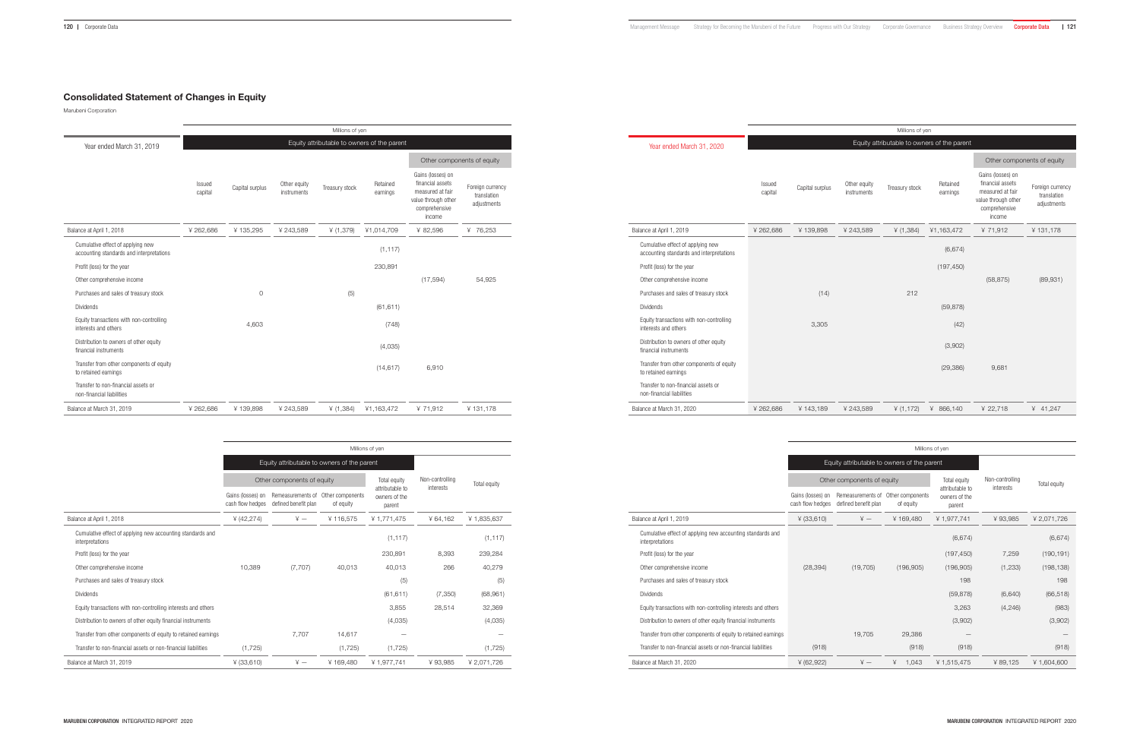# Consolidated Statement of Changes in Equity

Marubeni Corporation

|                                                                               |                   |                                             |                             | Millions of yen |                      |                                                                                                             |                                                |  |  |  |
|-------------------------------------------------------------------------------|-------------------|---------------------------------------------|-----------------------------|-----------------|----------------------|-------------------------------------------------------------------------------------------------------------|------------------------------------------------|--|--|--|
| Year ended March 31, 2019                                                     |                   | Equity attributable to owners of the parent |                             |                 |                      |                                                                                                             |                                                |  |  |  |
|                                                                               |                   |                                             |                             |                 |                      | Other components of equity                                                                                  |                                                |  |  |  |
|                                                                               | Issued<br>capital | Capital surplus                             | Other equity<br>instruments | Treasury stock  | Retained<br>earnings | Gains (losses) on<br>financial assets<br>measured at fair<br>value through other<br>comprehensive<br>income | Foreign currency<br>translation<br>adjustments |  |  |  |
| Balance at April 1, 2018                                                      | ¥262,686          | ¥135,295                                    | ¥ 243,589                   | ¥ $(1,379)$     | ¥1,014,709           | ¥ 82,596                                                                                                    | ¥ 76,253                                       |  |  |  |
| Cumulative effect of applying new<br>accounting standards and interpretations |                   |                                             |                             |                 | (1, 117)             |                                                                                                             |                                                |  |  |  |
| Profit (loss) for the year                                                    |                   |                                             |                             |                 | 230,891              |                                                                                                             |                                                |  |  |  |
| Other comprehensive income                                                    |                   |                                             |                             |                 |                      | (17, 594)                                                                                                   | 54,925                                         |  |  |  |
| Purchases and sales of treasury stock                                         |                   | $\circ$                                     |                             | (5)             |                      |                                                                                                             |                                                |  |  |  |
| <b>Dividends</b>                                                              |                   |                                             |                             |                 | (61, 611)            |                                                                                                             |                                                |  |  |  |
| Equity transactions with non-controlling<br>interests and others              |                   | 4.603                                       |                             |                 | (748)                |                                                                                                             |                                                |  |  |  |
| Distribution to owners of other equity<br>financial instruments               |                   |                                             |                             |                 | (4,035)              |                                                                                                             |                                                |  |  |  |
| Transfer from other components of equity<br>to retained earnings              |                   |                                             |                             |                 | (14, 617)            | 6,910                                                                                                       |                                                |  |  |  |
| Transfer to non-financial assets or<br>non-financial liabilities              |                   |                                             |                             |                 |                      |                                                                                                             |                                                |  |  |  |
| Balance at March 31, 2019                                                     | ¥262,686          | ¥139,898                                    | ¥ 243,589                   | ¥ (1,384)       | ¥1,163,472           | ¥71,912                                                                                                     | ¥131,178                                       |  |  |  |

|                                                                               | Millions of yen                             |                                           |                               |                                            |                 |              |  |  |  |
|-------------------------------------------------------------------------------|---------------------------------------------|-------------------------------------------|-------------------------------|--------------------------------------------|-----------------|--------------|--|--|--|
|                                                                               | Equity attributable to owners of the parent |                                           |                               |                                            |                 |              |  |  |  |
|                                                                               |                                             | Other components of equity                |                               |                                            | Non-controlling | Total equity |  |  |  |
|                                                                               | Gains (losses) on<br>cash flow hedges       | Remeasurements of<br>defined benefit plan | Other components<br>of equity | attributable to<br>owners of the<br>parent | interests       |              |  |  |  |
| Balance at April 1, 2018                                                      | ¥ $(42, 274)$                               | $\angle +$                                | ¥116,575                      | ¥ 1,771,475                                | ¥64,162         | ¥1,835,637   |  |  |  |
| Cumulative effect of applying new accounting standards and<br>interpretations |                                             |                                           |                               | (1, 117)                                   |                 | (1, 117)     |  |  |  |
| Profit (loss) for the year                                                    |                                             |                                           |                               | 230,891                                    | 8,393           | 239,284      |  |  |  |
| Other comprehensive income                                                    | 10,389                                      | (7,707)                                   | 40.013                        | 40,013                                     | 266             | 40,279       |  |  |  |
| Purchases and sales of treasury stock                                         |                                             |                                           |                               | (5)                                        |                 | (5)          |  |  |  |
| <b>Dividends</b>                                                              |                                             |                                           |                               | (61, 611)                                  | (7,350)         | (68,961)     |  |  |  |
| Equity transactions with non-controlling interests and others                 |                                             |                                           |                               | 3,855                                      | 28,514          | 32,369       |  |  |  |
| Distribution to owners of other equity financial instruments                  |                                             |                                           |                               | (4,035)                                    |                 | (4,035)      |  |  |  |
| Transfer from other components of equity to retained earnings                 |                                             | 7,707                                     | 14,617                        |                                            |                 |              |  |  |  |
| Transfer to non-financial assets or non-financial liabilities                 | (1, 725)                                    |                                           | (1,725)                       | (1, 725)                                   |                 | (1, 725)     |  |  |  |
| Balance at March 31, 2019                                                     | $¥$ (33,610)                                | $\angle +$                                | ¥169,480                      | ¥1,977,741                                 | ¥93,985         | ¥2,071,726   |  |  |  |

|                                                                               |                                             |                 |                             | Millions of yen |                      |                                                                                                             |                                                |  |
|-------------------------------------------------------------------------------|---------------------------------------------|-----------------|-----------------------------|-----------------|----------------------|-------------------------------------------------------------------------------------------------------------|------------------------------------------------|--|
| Year ended March 31, 2020                                                     | Equity attributable to owners of the parent |                 |                             |                 |                      |                                                                                                             |                                                |  |
|                                                                               |                                             |                 |                             |                 |                      | Other components of equity                                                                                  |                                                |  |
|                                                                               | Issued<br>capital                           | Capital surplus | Other equity<br>instruments | Treasury stock  | Retained<br>earnings | Gains (losses) on<br>financial assets<br>measured at fair<br>value through other<br>comprehensive<br>income | Foreign currency<br>translation<br>adjustments |  |
| Balance at April 1, 2019                                                      | ¥ 262,686                                   | ¥139,898        | ¥ 243,589                   | ¥ (1,384)       | ¥1,163,472           | ¥ 71,912                                                                                                    | ¥131,178                                       |  |
| Cumulative effect of applying new<br>accounting standards and interpretations |                                             |                 |                             |                 | (6,674)              |                                                                                                             |                                                |  |
| Profit (loss) for the year                                                    |                                             |                 |                             |                 | (197, 450)           |                                                                                                             |                                                |  |
| Other comprehensive income                                                    |                                             |                 |                             |                 |                      | (58, 875)                                                                                                   | (89, 931)                                      |  |
| Purchases and sales of treasury stock                                         |                                             | (14)            |                             | 212             |                      |                                                                                                             |                                                |  |
| <b>Dividends</b>                                                              |                                             |                 |                             |                 | (59, 878)            |                                                                                                             |                                                |  |
| Equity transactions with non-controlling<br>interests and others              |                                             | 3,305           |                             |                 | (42)                 |                                                                                                             |                                                |  |
| Distribution to owners of other equity<br>financial instruments               |                                             |                 |                             |                 | (3,902)              |                                                                                                             |                                                |  |
| Transfer from other components of equity<br>to retained earnings              |                                             |                 |                             |                 | (29, 386)            | 9,681                                                                                                       |                                                |  |
| Transfer to non-financial assets or<br>non-financial liabilities              |                                             |                 |                             |                 |                      |                                                                                                             |                                                |  |
| Balance at March 31, 2020                                                     | ¥262,686                                    | ¥143,189        | ¥ 243,589                   | 4(1,172)        | ¥ 866,140            | ¥ 22,718                                                                                                    | ¥ 41,247                                       |  |

|                                       |                      |            | Total equity                                                     | Non-controlling                                                                   | Total equity |
|---------------------------------------|----------------------|------------|------------------------------------------------------------------|-----------------------------------------------------------------------------------|--------------|
| Gains (losses) on<br>cash flow hedges | defined benefit plan | of equity  | owners of the<br>parent                                          |                                                                                   |              |
| ¥ (33,610)                            | $\angle$ $-$         | ¥169.480   | ¥1,977,741                                                       | ¥93,985                                                                           | ¥ 2,071,726  |
|                                       |                      |            | (6,674)                                                          |                                                                                   | (6,674)      |
|                                       |                      |            | (197, 450)                                                       | 7,259                                                                             | (190, 191)   |
| (28, 394)                             | (19, 705)            | (196,905)  | (196,905)                                                        | (1,233)                                                                           | (198, 138)   |
|                                       |                      |            | 198                                                              |                                                                                   | 198          |
|                                       |                      |            | (59, 878)                                                        | (6,640)                                                                           | (66, 518)    |
|                                       |                      |            | 3,263                                                            | (4, 246)                                                                          | (983)        |
|                                       |                      |            | (3,902)                                                          |                                                                                   | (3,902)      |
|                                       | 19,705               | 29,386     |                                                                  |                                                                                   |              |
| (918)                                 |                      | (918)      | (918)                                                            |                                                                                   | (918)        |
| 4(62,922)                             | $\angle +$           | 1,043<br>¥ | ¥1,515,475                                                       | ¥89,125                                                                           | ¥1.604.600   |
|                                       |                      |            | Other components of equity<br>Remeasurements of Other components | Millions of yen<br>Equity attributable to owners of the parent<br>attributable to | interests    |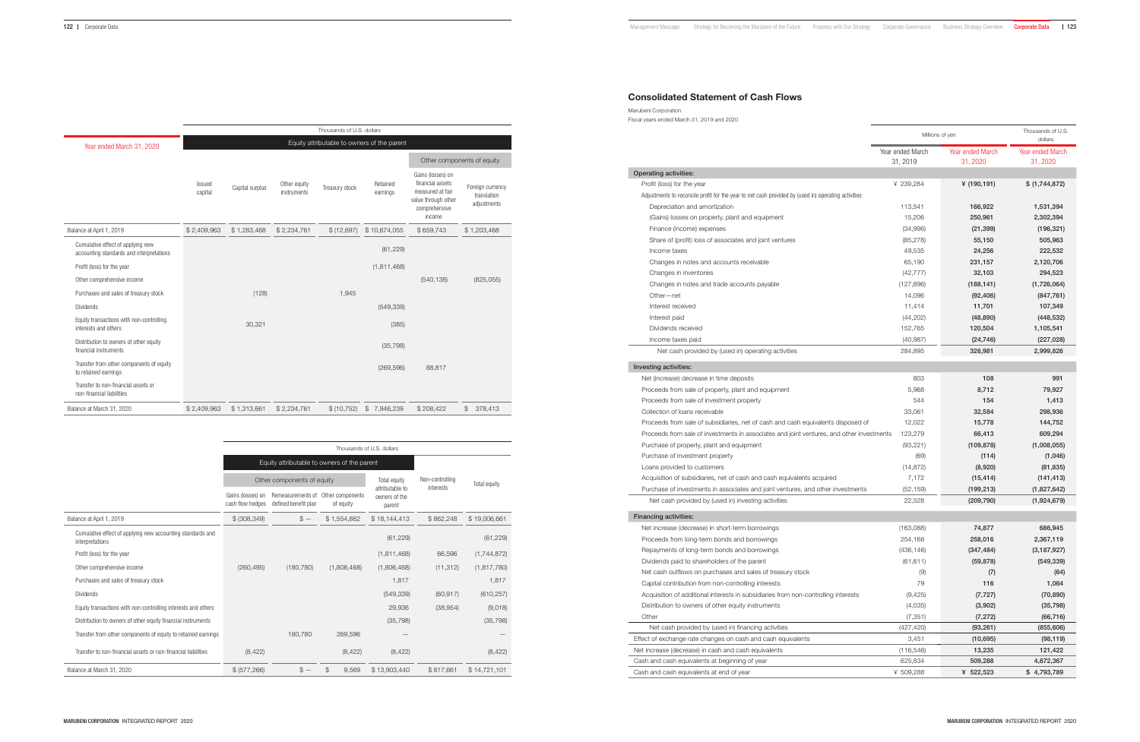# Consolidated Statement of Cash Flows

| Marubeni Corporation                       |  |
|--------------------------------------------|--|
| Fiscal years ended March 31, 2019 and 2020 |  |

|                                                                                                      | Millions of yen              |                                     | Thousands of U.S.<br>dollars |
|------------------------------------------------------------------------------------------------------|------------------------------|-------------------------------------|------------------------------|
|                                                                                                      | Year ended March<br>31, 2019 | <b>Year ended March</b><br>31, 2020 | Year ended March<br>31, 2020 |
| <b>Operating activities:</b>                                                                         |                              |                                     |                              |
| Profit (loss) for the year                                                                           | ¥ 239,284                    | ¥ $(190, 191)$                      | \$ (1,744,872)               |
| Adjustments to reconcile profit for the year to net cash provided by (used in) operating activities: |                              |                                     |                              |
| Depreciation and amortization                                                                        | 113,541                      | 166,922                             | 1,531,394                    |
| (Gains) losses on property, plant and equipment                                                      | 15,206                       | 250,961                             | 2,302,394                    |
| Finance (income) expenses                                                                            | (34,996)                     | (21, 399)                           | (196, 321)                   |
| Share of (profit) loss of associates and joint ventures                                              | (85, 278)                    | 55,150                              | 505,963                      |
| Income taxes                                                                                         | 49,535                       | 24,256                              | 222,532                      |
| Changes in notes and accounts receivable                                                             | 65,190                       | 231,157                             | 2,120,706                    |
| Changes in inventories                                                                               | (42, 777)                    | 32,103                              | 294,523                      |
| Changes in notes and trade accounts payable                                                          | (127, 896)                   | (188, 141)                          | (1,726,064)                  |
| Other-net                                                                                            | 14,096                       | (92, 406)                           | (847, 761)                   |
| Interest received                                                                                    | 11,414                       | 11,701                              | 107,349                      |
| Interest paid                                                                                        | (44,202)                     | (48, 890)                           | (448, 532)                   |
| Dividends received                                                                                   | 152,765                      | 120,504                             | 1,105,541                    |
| Income taxes paid                                                                                    | (40, 987)                    | (24, 746)                           | (227, 028)                   |
| Net cash provided by (used in) operating activities                                                  | 284,895                      | 326,981                             | 2,999,826                    |
| Investing activities:                                                                                |                              |                                     |                              |
| Net (increase) decrease in time deposits                                                             | 803                          | 108                                 | 991                          |
| Proceeds from sale of property, plant and equipment                                                  | 5,968                        | 8,712                               | 79,927                       |
| Proceeds from sale of investment property                                                            | 544                          | 154                                 | 1,413                        |
| Collection of loans receivable                                                                       | 33,061                       | 32,584                              | 298,936                      |
| Proceeds from sale of subsidiaries, net of cash and cash equivalents disposed of                     | 12,022                       | 15,778                              | 144,752                      |
| Proceeds from sale of investments in associates and joint ventures, and other investments            | 123,279                      | 66,413                              | 609,294                      |
| Purchase of property, plant and equipment                                                            | (93, 221)                    | (109, 878)                          | (1,008,055)                  |
| Purchase of investment property                                                                      | (69)                         | (114)                               | (1,046)                      |
| Loans provided to customers                                                                          | (14, 872)                    | (8,920)                             | (81, 835)                    |
| Acquisition of subsidiaries, net of cash and cash equivalents acquired                               | 7,172                        | (15, 414)                           | (141, 413)                   |
| Purchase of investments in associates and joint ventures, and other investments                      | (52, 159)                    | (199, 213)                          | (1,827,642)                  |
| Net cash provided by (used in) investing activities                                                  | 22,528                       | (209, 790)                          | (1,924,679)                  |
| <b>Financing activities:</b>                                                                         |                              |                                     |                              |
| Net increase (decrease) in short-term borrowings                                                     | (163,088)                    | 74,877                              | 686,945                      |
| Proceeds from long-term bonds and borrowings                                                         | 254,166                      | 258,016                             | 2,367,119                    |
| Repayments of long-term bonds and borrowings                                                         | (436, 146)                   | (347, 484)                          | (3, 187, 927)                |
| Dividends paid to shareholders of the parent                                                         | (61, 611)                    | (59, 878)                           | (549, 339)                   |
| Net cash outflows on purchases and sales of treasury stock                                           | (9)                          | (7)                                 | (64)                         |
| Capital contribution from non-controlling interests                                                  | 79                           | 116                                 | 1,064                        |
| Acquisition of additional interests in subsidiaries from non-controlling interests                   | (9,425)                      | (7, 727)                            | (70, 890)                    |
| Distribution to owners of other equity instruments                                                   | (4,035)                      | (3,902)                             | (35, 798)                    |
| Other                                                                                                | (7, 351)                     | (7, 272)                            | (66, 716)                    |
| Net cash provided by (used in) financing activities                                                  | (427, 420)                   | (93, 261)                           | (855, 606)                   |
| Effect of exchange rate changes on cash and cash equivalents                                         | 3,451                        | (10,695)                            | (98, 119)                    |
| Net increase (decrease) in cash and cash equivalents                                                 | (116, 546)                   | 13,235                              | 121,422                      |
| Cash and cash equivalents at beginning of year                                                       | 625,834                      | 509,288                             | 4,672,367                    |
| Cash and cash equivalents at end of year                                                             | ¥ 509,288                    | ¥ 522,523                           | \$4,793,789                  |

- 
- 
- 
- 

|                                                                               |                   |                                             |                             | Thousands of U.S. dollars |                      |                                                                                                             |                                                |  |  |  |  |
|-------------------------------------------------------------------------------|-------------------|---------------------------------------------|-----------------------------|---------------------------|----------------------|-------------------------------------------------------------------------------------------------------------|------------------------------------------------|--|--|--|--|
| Year ended March 31, 2020                                                     |                   | Equity attributable to owners of the parent |                             |                           |                      |                                                                                                             |                                                |  |  |  |  |
|                                                                               |                   |                                             |                             |                           |                      |                                                                                                             | Other components of equity                     |  |  |  |  |
|                                                                               | Issued<br>capital | Capital surplus                             | Other equity<br>instruments | Treasury stock            | Retained<br>earnings | Gains (losses) on<br>financial assets<br>measured at fair<br>value through other<br>comprehensive<br>income | Foreign currency<br>translation<br>adjustments |  |  |  |  |
| Balance at April 1, 2019                                                      | \$2,409,963       | \$1,283,468                                 | \$2,234,761                 | \$(12,697)                | \$10,674,055         | \$659,743                                                                                                   | \$1,203,468                                    |  |  |  |  |
| Cumulative effect of applying new<br>accounting standards and interpretations |                   |                                             |                             |                           | (61, 229)            |                                                                                                             |                                                |  |  |  |  |
| Profit (loss) for the year                                                    |                   |                                             |                             |                           | (1, 811, 468)        |                                                                                                             |                                                |  |  |  |  |
| Other comprehensive income                                                    |                   |                                             |                             |                           |                      | (540, 138)                                                                                                  | (825, 055)                                     |  |  |  |  |
| Purchases and sales of treasury stock                                         |                   | (128)                                       |                             | 1,945                     |                      |                                                                                                             |                                                |  |  |  |  |
| <b>Dividends</b>                                                              |                   |                                             |                             |                           | (549, 339)           |                                                                                                             |                                                |  |  |  |  |
| Equity transactions with non-controlling<br>interests and others              |                   | 30,321                                      |                             |                           | (385)                |                                                                                                             |                                                |  |  |  |  |
| Distribution to owners of other equity<br>financial instruments               |                   |                                             |                             |                           | (35, 798)            |                                                                                                             |                                                |  |  |  |  |
| Transfer from other components of equity<br>to retained earnings              |                   |                                             |                             |                           | (269, 596)           | 88,817                                                                                                      |                                                |  |  |  |  |
| Transfer to non-financial assets or<br>non-financial liabilities              |                   |                                             |                             |                           |                      |                                                                                                             |                                                |  |  |  |  |
| Balance at March 31, 2020                                                     | \$2,409,963       | \$1,313,661                                 | \$2,234,761                 | \$ (10, 752)              | \$7,946,239          | \$208,422                                                                                                   | 378,413<br>\$                                  |  |  |  |  |

|                                                                               | Thousands of U.S. dollars             |                                             |                               |                                            |                              |               |  |  |
|-------------------------------------------------------------------------------|---------------------------------------|---------------------------------------------|-------------------------------|--------------------------------------------|------------------------------|---------------|--|--|
|                                                                               |                                       | Equity attributable to owners of the parent |                               |                                            |                              |               |  |  |
|                                                                               |                                       | Other components of equity                  |                               | Total equity                               | Non-controlling<br>interests | Total equity  |  |  |
|                                                                               | Gains (losses) on<br>cash flow hedges | Remeasurements of<br>defined benefit plan   | Other components<br>of equity | attributable to<br>owners of the<br>parent |                              |               |  |  |
| Balance at April 1, 2019                                                      | \$ (308, 349)                         | $$ -$                                       | \$1.554.862                   | \$18,144,413                               | \$862.248                    | \$19,006,661  |  |  |
| Cumulative effect of applying new accounting standards and<br>interpretations |                                       |                                             |                               | (61, 229)                                  |                              | (61, 229)     |  |  |
| Profit (loss) for the year                                                    |                                       |                                             |                               | (1, 811, 468)                              | 66,596                       | (1,744,872)   |  |  |
| Other comprehensive income                                                    | (260, 495)                            | (180, 780)                                  | (1,806,468)                   | (1,806,468)                                | (11, 312)                    | (1, 817, 780) |  |  |
| Purchases and sales of treasury stock                                         |                                       |                                             |                               | 1,817                                      |                              | 1,817         |  |  |
| <b>Dividends</b>                                                              |                                       |                                             |                               | (549, 339)                                 | (60, 917)                    | (610, 257)    |  |  |
| Equity transactions with non-controlling interests and others                 |                                       |                                             |                               | 29,936                                     | (38, 954)                    | (9,018)       |  |  |
| Distribution to owners of other equity financial instruments                  |                                       |                                             |                               | (35, 798)                                  |                              | (35, 798)     |  |  |
| Transfer from other components of equity to retained earnings                 |                                       | 180.780                                     | 269,596                       |                                            |                              |               |  |  |
| Transfer to non-financial assets or non-financial liabilities                 | (8, 422)                              |                                             | (8, 422)                      | (8, 422)                                   |                              | (8, 422)      |  |  |
| Balance at March 31, 2020                                                     | \$ (577, 266)                         | $$ -$                                       | \$<br>9,569                   | \$13,903,440                               | \$817.661                    | \$14,721,101  |  |  |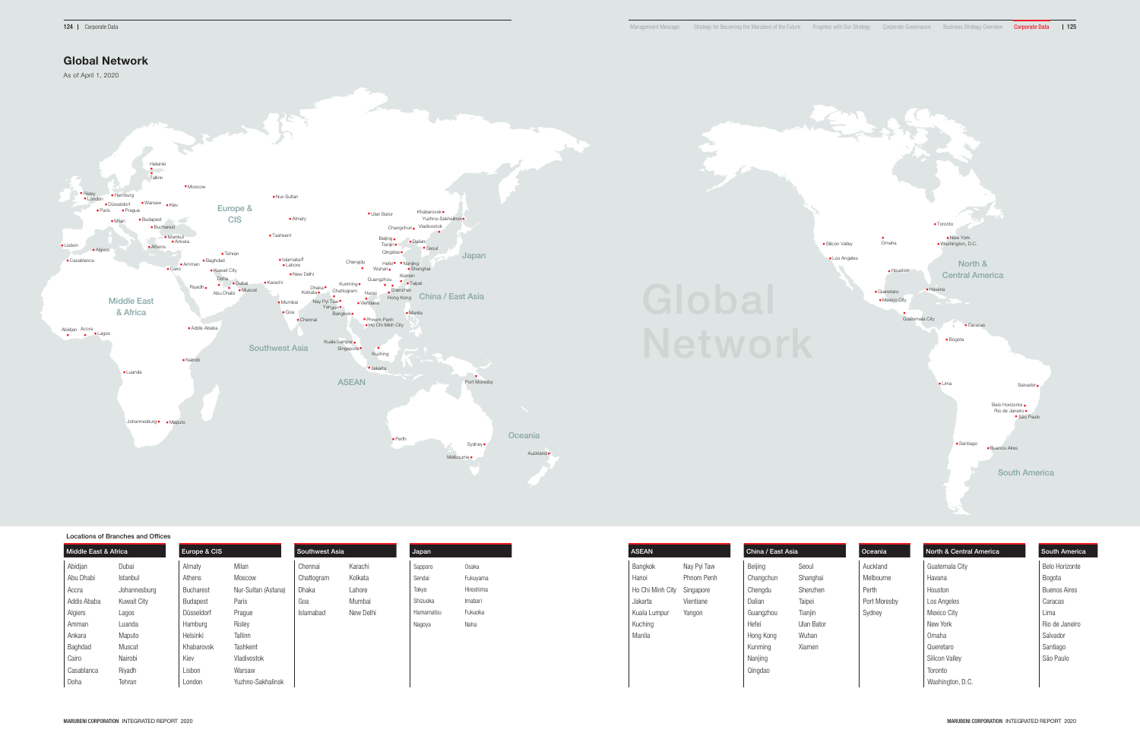

#### 124 | Corporate Data Management Message Strategy for Becoming the Manubeni of the Future Progress with Our Strategy Corporate Governance Business Strategy Overview Corporate Data | 125



Locations of Branches and Offices

| Middle East & Africa |              | Europe & CIS |                     | Southwest Asia |           | Japan     |           | <b>ASEAN</b>               |             | China / East Asia |            | Oceania      | North & Central America | <b>South America</b> |
|----------------------|--------------|--------------|---------------------|----------------|-----------|-----------|-----------|----------------------------|-------------|-------------------|------------|--------------|-------------------------|----------------------|
| Abidjan              | Dubai        | Almaty       | Milan               | Chennai        | Karachi   | Sapporo   | Osaka     | Bangkok                    | Nay Pyi Taw | Beijing           | Seoul      | Auckland     | Guatemala City          | Belo Horizonte       |
| Abu Dhabi            | Istanbul     | Athens       | Moscow              | Chattogram     | Kolkata   | Sendai    | Fukuyama  | Hanoi                      | Phnom Penh  | Changchun         | Shanghai   | Melbourne    | Havana                  | Bogota               |
| Accra                | Johannesburg | Bucharest    | Nur-Sultan (Astana) | Dhaka          | Lahore    | Tokyo     | Hiroshima | Ho Chi Minh City Singapore |             | Chengdu           | Shenzhen   | Perth        | Houston                 | <b>Buenos Aires</b>  |
| Addis Ababa          | Kuwait City  | Budapest     | Paris               | Goa            | Mumbai    | Shizuoka  | Imabari   | Jakarta                    | Vientiane   | Dalian            | Taipei     | Port Moresby | Los Angeles             | Caracas              |
| Algiers              | Lagos        | Düsseldorf   | Prague              | Islamabad      | New Delhi | Hamamatsu | Fukuoka   | Kuala Lumpur               | Yangon      | Guangzhou         | Tianjin    | Sydney       | Mexico City             | Lima                 |
| Amman                | Luanda       | Hamburg      | Risley              |                |           | Nagoya    | Naha      | Kuching                    |             | Hefei             | Ulan Bator |              | New York                | Rio de Janeiro       |
| Ankara               | Maputo       | Helsinki     | Tallinn             |                |           |           |           | Manila                     |             | Hong Kong         | Wuhan      |              | Omaha                   | Salvador             |
| Baghdad              | Muscat       | Khabarovsk   | Tashkent            |                |           |           |           |                            |             | Kunming           | Xiamen     |              | Queretaro               | Santiago             |
| Cairo                | Nairobi      | Kiev         | Vladivostok         |                |           |           |           |                            |             | Nanjing           |            |              | Silicon Valley          | São Paulo            |
| Casablanca           | Riyadh       | Lisbon       | Warsaw              |                |           |           |           |                            |             | Qingdao           |            |              | Toronto                 |                      |
| Doha                 | Tehran       | London       | Yuzhno-Sakhalinsk   |                |           |           |           |                            |             |                   |            |              | Washington, D.C.        |                      |

# Global Network

As of April 1, 2020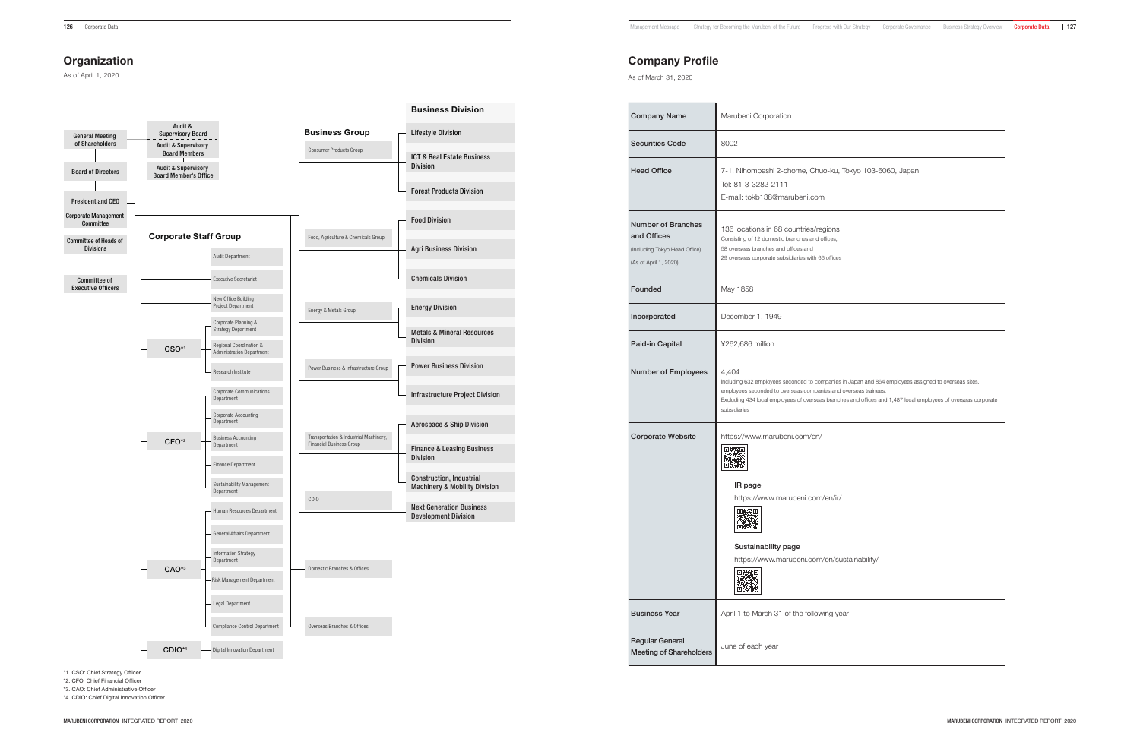As of April 1, 2020

\*1. CSO: Chief Strategy Officer

\*2. CFO: Chief Financial Officer

\*3. CAO: Chief Administrative Officer

\*4. CDIO: Chief Digital Innovation Officer

# Company Profile

As of March 31, 2020

| <b>Company Name</b>                                                                                | Marubeni Corporation                                                                                                                                                                   |
|----------------------------------------------------------------------------------------------------|----------------------------------------------------------------------------------------------------------------------------------------------------------------------------------------|
| <b>Securities Code</b>                                                                             | 8002                                                                                                                                                                                   |
| <b>Head Office</b>                                                                                 | 7-1, Nihombashi 2-chome, Chuo-ku, To<br>Tel: 81-3-3282-2111<br>E-mail: tokb138@marubeni.com                                                                                            |
| <b>Number of Branches</b><br>and Offices<br>(Including Tokyo Head Office)<br>(As of April 1, 2020) | 136 locations in 68 countries/regions<br>Consisting of 12 domestic branches and offices,<br>58 overseas branches and offices and<br>29 overseas corporate subsidiaries with 66 offices |
| Founded                                                                                            | May 1858                                                                                                                                                                               |
| Incorporated                                                                                       | December 1, 1949                                                                                                                                                                       |
| Paid-in Capital                                                                                    | ¥262,686 million                                                                                                                                                                       |
| <b>Number of Employees</b>                                                                         | 4,404<br>Including 632 employees seconded to companies in<br>employees seconded to overseas companies and ov<br>Excluding 434 local employees of overseas branches<br>subsidiaries     |
| <b>Corporate Website</b>                                                                           | https://www.marubeni.com/en/<br>IR page<br>https://www.marubeni.com/en/ir/<br>回族系回<br>Sustainability page<br>https://www.marubeni.com/en/sust<br>网络紫河<br>oľ.                           |
| <b>Business Year</b>                                                                               | April 1 to March 31 of the following year                                                                                                                                              |
| <b>Regular General</b><br><b>Meeting of Shareholders</b>                                           | June of each year                                                                                                                                                                      |

|                                                         |                                                                                          |                                                                               |                                                                           | <b>Business Division</b>                                             |
|---------------------------------------------------------|------------------------------------------------------------------------------------------|-------------------------------------------------------------------------------|---------------------------------------------------------------------------|----------------------------------------------------------------------|
| <b>General Meeting</b><br>of Shareholders               | Audit &<br><b>Supervisory Board</b>                                                      |                                                                               | <b>Business Group</b>                                                     | <b>Lifestyle Division</b>                                            |
|                                                         | <b>Audit &amp; Supervisory</b><br><b>Board Members</b><br><b>Audit &amp; Supervisory</b> |                                                                               | Consumer Products Group                                                   | <b>ICT &amp; Real Estate Business</b><br><b>Division</b>             |
| <b>Board of Directors</b>                               | <b>Board Member's Office</b>                                                             |                                                                               |                                                                           | <b>Forest Products Division</b>                                      |
| <b>President and CEO</b><br><b>Corporate Management</b> |                                                                                          |                                                                               |                                                                           |                                                                      |
| Committee                                               |                                                                                          |                                                                               |                                                                           | <b>Food Division</b>                                                 |
| <b>Committee of Heads of</b><br><b>Divisions</b>        | <b>Corporate Staff Group</b>                                                             | <b>Audit Department</b>                                                       | Food, Agriculture & Chemicals Group                                       | <b>Agri Business Division</b>                                        |
|                                                         |                                                                                          |                                                                               |                                                                           |                                                                      |
| <b>Committee of</b><br><b>Executive Officers</b>        |                                                                                          | <b>Executive Secretariat</b>                                                  |                                                                           | <b>Chemicals Division</b>                                            |
|                                                         |                                                                                          | New Office Building<br>Project Department                                     | Energy & Metals Group                                                     | <b>Energy Division</b>                                               |
|                                                         |                                                                                          | Corporate Planning &<br><b>Strategy Department</b><br>Regional Coordination & |                                                                           | <b>Metals &amp; Mineral Resources</b><br><b>Division</b>             |
|                                                         | CSO <sup>*1</sup>                                                                        | <b>Administration Department</b>                                              |                                                                           |                                                                      |
|                                                         |                                                                                          | Research Institute                                                            | Power Business & Infrastructure Group                                     | <b>Power Business Division</b>                                       |
|                                                         |                                                                                          | <b>Corporate Communications</b><br>Department                                 |                                                                           | <b>Infrastructure Project Division</b>                               |
|                                                         |                                                                                          | Corporate Accounting<br>Department                                            |                                                                           | <b>Aerospace &amp; Ship Division</b>                                 |
|                                                         | $CFO*2$                                                                                  | <b>Business Accounting</b><br>Department                                      | Transportation & Industrial Machinery,<br><b>Financial Business Group</b> | <b>Finance &amp; Leasing Business</b>                                |
|                                                         |                                                                                          | <b>Finance Department</b>                                                     |                                                                           | <b>Division</b>                                                      |
|                                                         |                                                                                          | Sustainability Management<br>Department                                       |                                                                           | Construction, Industrial<br><b>Machinery &amp; Mobility Division</b> |
|                                                         |                                                                                          | Human Resources Department                                                    | CDI <sub>0</sub>                                                          | <b>Next Generation Business</b><br><b>Development Division</b>       |
|                                                         |                                                                                          | General Affairs Department                                                    |                                                                           |                                                                      |
|                                                         |                                                                                          | <b>Information Strategy</b><br>Department                                     |                                                                           |                                                                      |
|                                                         | $CAO*3$                                                                                  | Risk Management Department                                                    | Domestic Branches & Offices                                               |                                                                      |
|                                                         |                                                                                          | Legal Department                                                              |                                                                           |                                                                      |
|                                                         |                                                                                          | Compliance Control Department                                                 | Overseas Branches & Offices                                               |                                                                      |
|                                                         | CDIO <sup>*4</sup>                                                                       | <b>Digital Innovation Department</b>                                          |                                                                           |                                                                      |

Tokyo 103-6060, Japan

s in Japan and 864 employees assigned to overseas sites, overseas trainees.

hes and offices and 1,487 local employees of overseas corporate

istainability/